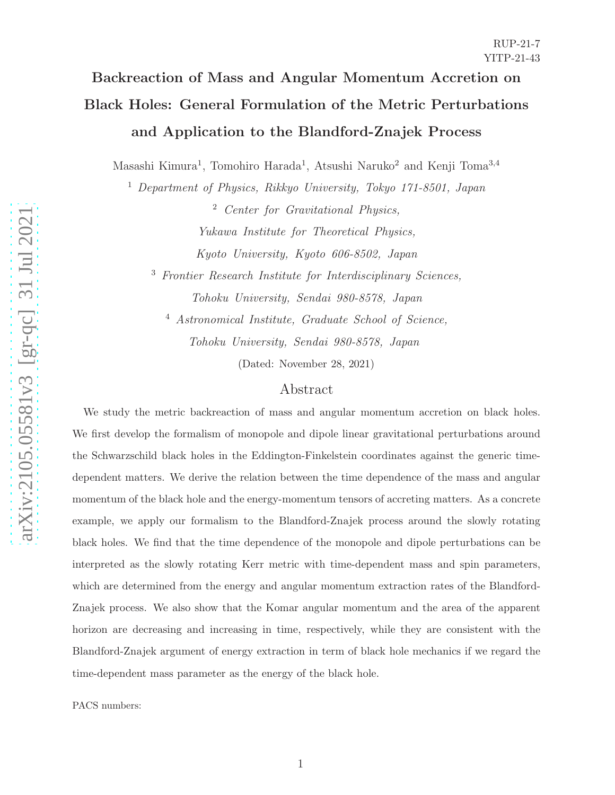# Backreaction of Mass and Angular Momentum Accretion on Black Holes: General Formulation of the Metric Perturbations and Application to the Blandford-Znajek Process

Masashi Kimura<sup>1</sup>, Tomohiro Harada<sup>1</sup>, Atsushi Naruko<sup>2</sup> and Kenji Toma<sup>3,4</sup>

<sup>1</sup> Department of Physics, Rikkyo University, Tokyo 171-8501, Japan

<sup>2</sup> Center for Gravitational Physics, Yukawa Institute for Theoretical Physics, Kyoto University, Kyoto 606-8502, Japan

<sup>3</sup> Frontier Research Institute for Interdisciplinary Sciences, Tohoku University, Sendai 980-8578, Japan

<sup>4</sup> Astronomical Institute, Graduate School of Science, Tohoku University, Sendai 980-8578, Japan

(Dated: November 28, 2021)

# Abstract

We study the metric backreaction of mass and angular momentum accretion on black holes. We first develop the formalism of monopole and dipole linear gravitational perturbations around the Schwarzschild black holes in the Eddington-Finkelstein coordinates against the generic timedependent matters. We derive the relation between the time dependence of the mass and angular momentum of the black hole and the energy-momentum tensors of accreting matters. As a concrete example, we apply our formalism to the Blandford-Znajek process around the slowly rotating black holes. We find that the time dependence of the monopole and dipole perturbations can be interpreted as the slowly rotating Kerr metric with time-dependent mass and spin parameters, which are determined from the energy and angular momentum extraction rates of the Blandford-Znajek process. We also show that the Komar angular momentum and the area of the apparent horizon are decreasing and increasing in time, respectively, while they are consistent with the Blandford-Znajek argument of energy extraction in term of black hole mechanics if we regard the time-dependent mass parameter as the energy of the black hole.

PACS numbers: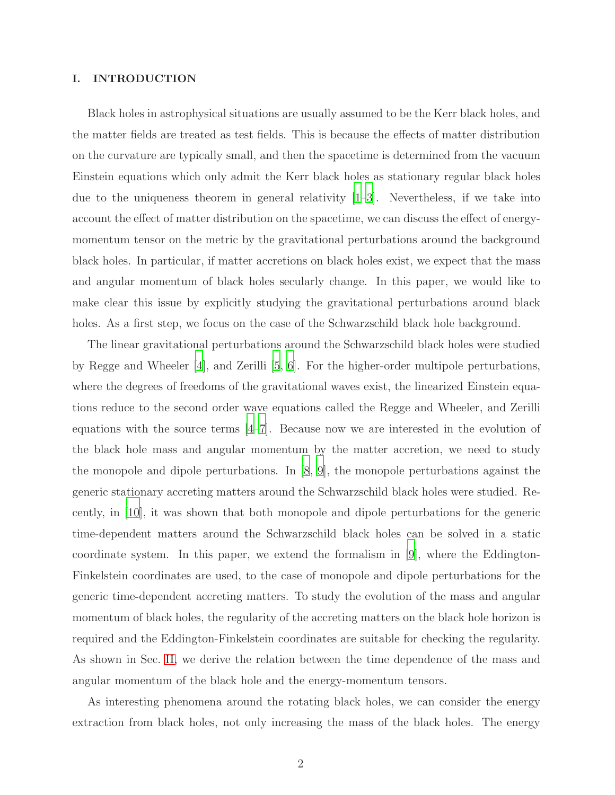### I. INTRODUCTION

Black holes in astrophysical situations are usually assumed to be the Kerr black holes, and the matter fields are treated as test fields. This is because the effects of matter distribution on the curvature are typically small, and then the spacetime is determined from the vacuum Einstein equations which only admit the Kerr black holes as stationary regular black holes due to the uniqueness theorem in general relativity [\[1](#page-32-0)[–3](#page-33-0)]. Nevertheless, if we take into account the effect of matter distribution on the spacetime, we can discuss the effect of energymomentum tensor on the metric by the gravitational perturbations around the background black holes. In particular, if matter accretions on black holes exist, we expect that the mass and angular momentum of black holes secularly change. In this paper, we would like to make clear this issue by explicitly studying the gravitational perturbations around black holes. As a first step, we focus on the case of the Schwarzschild black hole background.

The linear gravitational perturbations around the Schwarzschild black holes were studied by Regge and Wheeler [\[4\]](#page-33-1), and Zerilli [\[5,](#page-33-2) [6](#page-33-3)]. For the higher-order multipole perturbations, where the degrees of freedoms of the gravitational waves exist, the linearized Einstein equations reduce to the second order wave equations called the Regge and Wheeler, and Zerilli equations with the source terms [\[4](#page-33-1)[–7](#page-33-4)]. Because now we are interested in the evolution of the black hole mass and angular momentum by the matter accretion, we need to study the monopole and dipole perturbations. In [\[8,](#page-33-5) [9](#page-33-6)], the monopole perturbations against the generic stationary accreting matters around the Schwarzschild black holes were studied. Recently, in [\[10\]](#page-33-7), it was shown that both monopole and dipole perturbations for the generic time-dependent matters around the Schwarzschild black holes can be solved in a static coordinate system. In this paper, we extend the formalism in [\[9\]](#page-33-6), where the Eddington-Finkelstein coordinates are used, to the case of monopole and dipole perturbations for the generic time-dependent accreting matters. To study the evolution of the mass and angular momentum of black holes, the regularity of the accreting matters on the black hole horizon is required and the Eddington-Finkelstein coordinates are suitable for checking the regularity. As shown in Sec. [II,](#page-2-0) we derive the relation between the time dependence of the mass and angular momentum of the black hole and the energy-momentum tensors.

As interesting phenomena around the rotating black holes, we can consider the energy extraction from black holes, not only increasing the mass of the black holes. The energy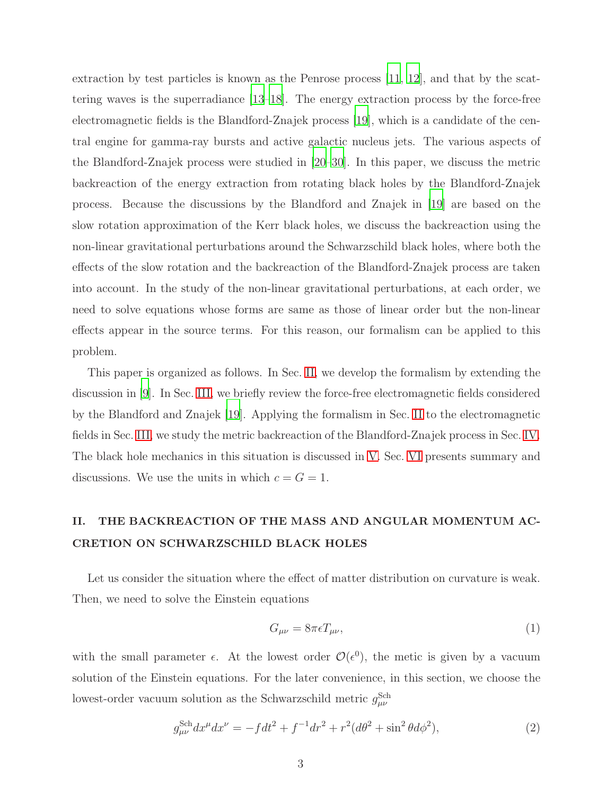extraction by test particles is known as the Penrose process [\[11,](#page-33-8) [12\]](#page-33-9), and that by the scattering waves is the superradiance [\[13](#page-33-10)[–18\]](#page-33-11). The energy extraction process by the force-free electromagnetic fields is the Blandford-Znajek process [\[19](#page-33-12)], which is a candidate of the central engine for gamma-ray bursts and active galactic nucleus jets. The various aspects of the Blandford-Znajek process were studied in [\[20](#page-33-13)[–30](#page-34-0)]. In this paper, we discuss the metric backreaction of the energy extraction from rotating black holes by the Blandford-Znajek process. Because the discussions by the Blandford and Znajek in [\[19\]](#page-33-12) are based on the slow rotation approximation of the Kerr black holes, we discuss the backreaction using the non-linear gravitational perturbations around the Schwarzschild black holes, where both the effects of the slow rotation and the backreaction of the Blandford-Znajek process are taken into account. In the study of the non-linear gravitational perturbations, at each order, we need to solve equations whose forms are same as those of linear order but the non-linear effects appear in the source terms. For this reason, our formalism can be applied to this problem.

This paper is organized as follows. In Sec. [II,](#page-2-0) we develop the formalism by extending the discussion in [\[9\]](#page-33-6). In Sec. [III,](#page-10-0) we briefly review the force-free electromagnetic fields considered by the Blandford and Znajek [\[19\]](#page-33-12). Applying the formalism in Sec. [II](#page-2-0) to the electromagnetic fields in Sec. [III,](#page-10-0) we study the metric backreaction of the Blandford-Znajek process in Sec. [IV.](#page-13-0) The black hole mechanics in this situation is discussed in [V.](#page-22-0) Sec. [VI](#page-28-0) presents summary and discussions. We use the units in which  $c = G = 1$ .

# <span id="page-2-0"></span>II. THE BACKREACTION OF THE MASS AND ANGULAR MOMENTUM AC-CRETION ON SCHWARZSCHILD BLACK HOLES

Let us consider the situation where the effect of matter distribution on curvature is weak. Then, we need to solve the Einstein equations

$$
G_{\mu\nu} = 8\pi\epsilon T_{\mu\nu},\tag{1}
$$

with the small parameter  $\epsilon$ . At the lowest order  $\mathcal{O}(\epsilon^0)$ , the metic is given by a vacuum solution of the Einstein equations. For the later convenience, in this section, we choose the lowest-order vacuum solution as the Schwarzschild metric  $g_{\mu\nu}^{\text{Sch}}$ 

$$
g_{\mu\nu}^{\text{Sch}} dx^{\mu} dx^{\nu} = -f dt^2 + f^{-1} dr^2 + r^2 (d\theta^2 + \sin^2 \theta d\phi^2), \tag{2}
$$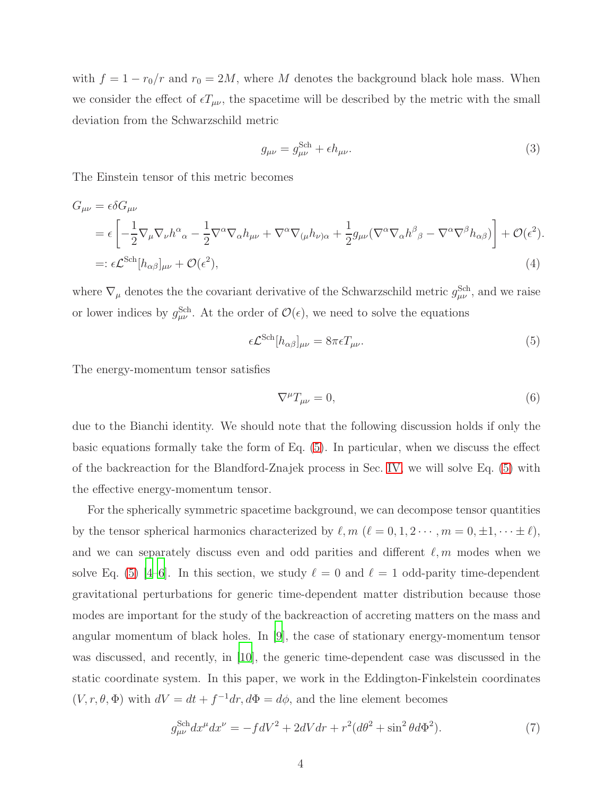with  $f = 1 - r_0/r$  and  $r_0 = 2M$ , where M denotes the background black hole mass. When we consider the effect of  $\epsilon T_{\mu\nu}$ , the spacetime will be described by the metric with the small deviation from the Schwarzschild metric

$$
g_{\mu\nu} = g_{\mu\nu}^{\text{Sch}} + \epsilon h_{\mu\nu}.
$$
\n(3)

The Einstein tensor of this metric becomes

$$
G_{\mu\nu} = \epsilon \delta G_{\mu\nu}
$$
  
=  $\epsilon \left[ -\frac{1}{2} \nabla_{\mu} \nabla_{\nu} h^{\alpha}{}_{\alpha} - \frac{1}{2} \nabla^{\alpha} \nabla_{\alpha} h_{\mu\nu} + \nabla^{\alpha} \nabla_{(\mu} h_{\nu)\alpha} + \frac{1}{2} g_{\mu\nu} (\nabla^{\alpha} \nabla_{\alpha} h^{\beta}{}_{\beta} - \nabla^{\alpha} \nabla^{\beta} h_{\alpha\beta}) \right] + \mathcal{O}(\epsilon^2).$   
=:  $\epsilon \mathcal{L}^{\text{Sch}} [h_{\alpha\beta}]_{\mu\nu} + \mathcal{O}(\epsilon^2),$  (4)

where  $\nabla_{\mu}$  denotes the the covariant derivative of the Schwarzschild metric  $g_{\mu\nu}^{\text{Sch}}$ , and we raise or lower indices by  $g_{\mu\nu}^{\text{Sch}}$ . At the order of  $\mathcal{O}(\epsilon)$ , we need to solve the equations

$$
\epsilon \mathcal{L}^{\text{Sch}}[h_{\alpha\beta}]_{\mu\nu} = 8\pi \epsilon T_{\mu\nu}.
$$
\n(5)

The energy-momentum tensor satisfies

<span id="page-3-0"></span>
$$
\nabla^{\mu}T_{\mu\nu} = 0,\tag{6}
$$

due to the Bianchi identity. We should note that the following discussion holds if only the basic equations formally take the form of Eq. [\(5\)](#page-3-0). In particular, when we discuss the effect of the backreaction for the Blandford-Znajek process in Sec. [IV,](#page-13-0) we will solve Eq. [\(5\)](#page-3-0) with the effective energy-momentum tensor.

For the spherically symmetric spacetime background, we can decompose tensor quantities by the tensor spherical harmonics characterized by  $\ell, m$  ( $\ell = 0, 1, 2 \cdots, m = 0, \pm 1, \cdots \pm \ell$ ), and we can separately discuss even and odd parities and different  $\ell, m$  modes when we solve Eq. [\(5\)](#page-3-0) [\[4](#page-33-1)[–6\]](#page-33-3). In this section, we study  $\ell = 0$  and  $\ell = 1$  odd-parity time-dependent gravitational perturbations for generic time-dependent matter distribution because those modes are important for the study of the backreaction of accreting matters on the mass and angular momentum of black holes. In [\[9\]](#page-33-6), the case of stationary energy-momentum tensor was discussed, and recently, in [\[10\]](#page-33-7), the generic time-dependent case was discussed in the static coordinate system. In this paper, we work in the Eddington-Finkelstein coordinates  $(V, r, \theta, \Phi)$  with  $dV = dt + f^{-1}dr, d\Phi = d\phi$ , and the line element becomes

$$
g_{\mu\nu}^{\text{Sch}} dx^{\mu} dx^{\nu} = -fdV^2 + 2dVdr + r^2(d\theta^2 + \sin^2\theta d\Phi^2). \tag{7}
$$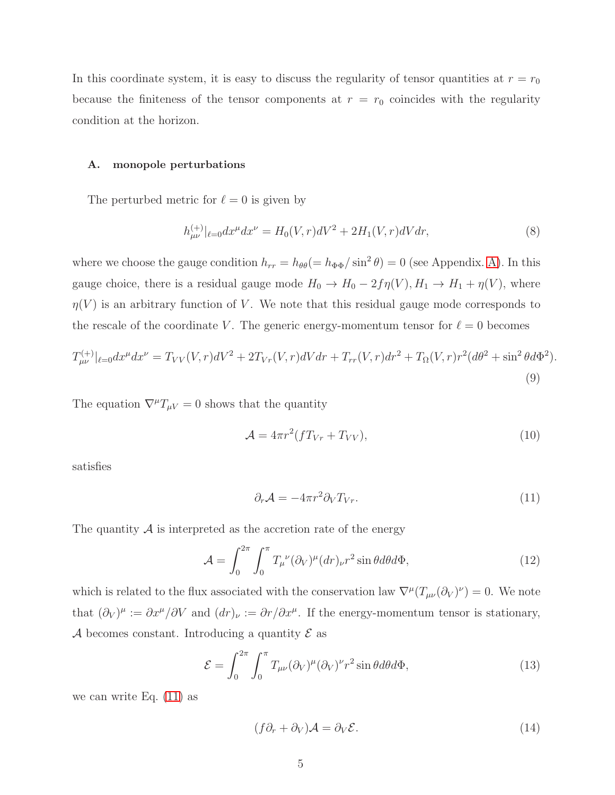In this coordinate system, it is easy to discuss the regularity of tensor quantities at  $r = r_0$ because the finiteness of the tensor components at  $r = r_0$  coincides with the regularity condition at the horizon.

#### A. monopole perturbations

The perturbed metric for  $\ell = 0$  is given by

$$
h_{\mu\nu}^{(+)}|_{\ell=0} dx^{\mu} dx^{\nu} = H_0(V,r) dV^2 + 2H_1(V,r) dV dr, \tag{8}
$$

where we choose the gauge condition  $h_{rr} = h_{\theta\theta} (= h_{\Phi\Phi}/\sin^2 \theta) = 0$  (see Appendix. [A\)](#page-29-0). In this gauge choice, there is a residual gauge mode  $H_0 \to H_0 - 2f\eta(V), H_1 \to H_1 + \eta(V)$ , where  $\eta(V)$  is an arbitrary function of V. We note that this residual gauge mode corresponds to the rescale of the coordinate V. The generic energy-momentum tensor for  $\ell = 0$  becomes

$$
T_{\mu\nu}^{(+)}|_{\ell=0}dx^{\mu}dx^{\nu} = T_{VV}(V,r)dV^2 + 2T_{Vr}(V,r)dVdr + T_{rr}(V,r)dr^2 + T_{\Omega}(V,r)r^2(d\theta^2 + \sin^2\theta d\Phi^2).
$$
\n(9)

The equation  $\nabla^{\mu}T_{\mu V} = 0$  shows that the quantity

$$
\mathcal{A} = 4\pi r^2 (f T_{Vr} + T_{VV}),\tag{10}
$$

satisfies

<span id="page-4-0"></span>
$$
\partial_r \mathcal{A} = -4\pi r^2 \partial_V T_{Vr}.\tag{11}
$$

The quantity  $A$  is interpreted as the accretion rate of the energy

$$
\mathcal{A} = \int_0^{2\pi} \int_0^{\pi} T_{\mu}^{\ \nu} (\partial_V)^{\mu} (dr)_{\nu} r^2 \sin \theta d\theta d\Phi, \tag{12}
$$

which is related to the flux associated with the conservation law  $\nabla^{\mu}(T_{\mu\nu}(\partial_V)^{\nu})=0$ . We note that  $(\partial_V)^\mu := \partial x^\mu/\partial V$  and  $(dr)_\nu := \partial r/\partial x^\mu$ . If the energy-momentum tensor is stationary, A becomes constant. Introducing a quantity  $\mathcal E$  as

$$
\mathcal{E} = \int_0^{2\pi} \int_0^{\pi} T_{\mu\nu} (\partial_V)^{\mu} (\partial_V)^{\nu} r^2 \sin \theta d\theta d\Phi, \qquad (13)
$$

we can write Eq. [\(11\)](#page-4-0) as

<span id="page-4-1"></span>
$$
(f\partial_r + \partial_V)\mathcal{A} = \partial_V \mathcal{E}.
$$
 (14)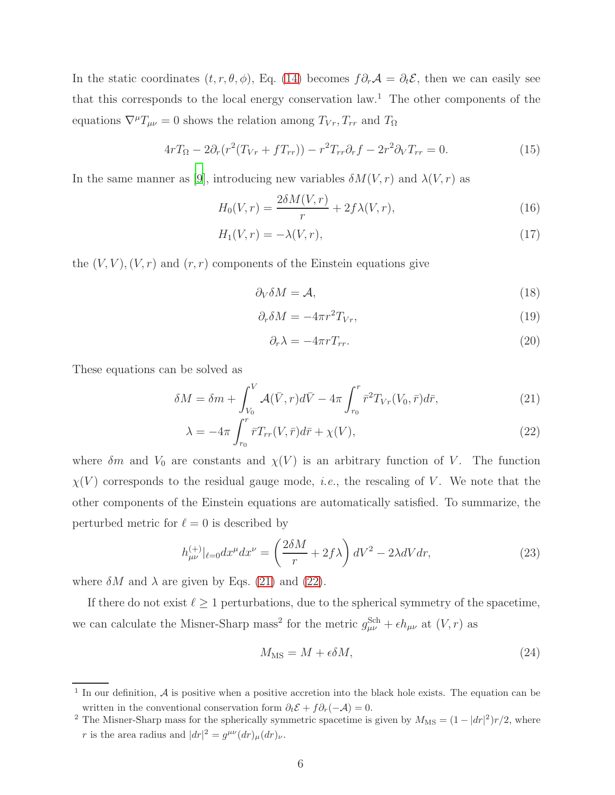In the static coordinates  $(t, r, \theta, \phi)$ , Eq. [\(14\)](#page-4-1) becomes  $f \partial_r \mathcal{A} = \partial_t \mathcal{E}$ , then we can easily see that this corresponds to the local energy conservation law.<sup>1</sup> The other components of the equations  $\nabla^{\mu}T_{\mu\nu} = 0$  shows the relation among  $T_{Vr}, T_{rr}$  and  $T_{\Omega}$ 

$$
4rT_{\Omega} - 2\partial_r(r^2(T_{Vr} + fT_{rr})) - r^2T_{rr}\partial_rf - 2r^2\partial_VT_{rr} = 0.
$$
\n(15)

In the same manner as [\[9\]](#page-33-6), introducing new variables  $\delta M(V,r)$  and  $\lambda(V,r)$  as

$$
H_0(V,r) = \frac{2\delta M(V,r)}{r} + 2f\lambda(V,r),\tag{16}
$$

$$
H_1(V,r) = -\lambda(V,r),\tag{17}
$$

the  $(V, V), (V, r)$  and  $(r, r)$  components of the Einstein equations give

<span id="page-5-3"></span><span id="page-5-2"></span>
$$
\partial_V \delta M = \mathcal{A},\tag{18}
$$

$$
\partial_r \delta M = -4\pi r^2 T_{Vr},\tag{19}
$$

<span id="page-5-1"></span><span id="page-5-0"></span>
$$
\partial_r \lambda = -4\pi r T_{rr}.\tag{20}
$$

These equations can be solved as

$$
\delta M = \delta m + \int_{V_0}^{V} \mathcal{A}(\bar{V}, r) d\bar{V} - 4\pi \int_{r_0}^{r} \bar{r}^2 T_{Vr}(V_0, \bar{r}) d\bar{r}, \tag{21}
$$

$$
\lambda = -4\pi \int_{r_0}^r \bar{r} T_{rr}(V, \bar{r}) d\bar{r} + \chi(V), \qquad (22)
$$

where  $\delta m$  and  $V_0$  are constants and  $\chi(V)$  is an arbitrary function of V. The function  $\chi(V)$  corresponds to the residual gauge mode, *i.e.*, the rescaling of V. We note that the other components of the Einstein equations are automatically satisfied. To summarize, the perturbed metric for  $\ell = 0$  is described by

$$
h_{\mu\nu}^{(+)}|_{\ell=0}dx^{\mu}dx^{\nu} = \left(\frac{2\delta M}{r} + 2f\lambda\right)dV^2 - 2\lambda dVdr,\tag{23}
$$

where  $\delta M$  and  $\lambda$  are given by Eqs. [\(21\)](#page-5-0) and [\(22\)](#page-5-1).

If there do not exist  $\ell \geq 1$  perturbations, due to the spherical symmetry of the spacetime, we can calculate the Misner-Sharp mass<sup>2</sup> for the metric  $g_{\mu\nu}^{\text{Sch}} + \epsilon h_{\mu\nu}$  at  $(V, r)$  as

$$
M_{\rm MS} = M + \epsilon \delta M,\tag{24}
$$

<sup>&</sup>lt;sup>1</sup> In our definition,  $A$  is positive when a positive accretion into the black hole exists. The equation can be written in the conventional conservation form  $\partial_t \mathcal{E} + f \partial_r(-\mathcal{A}) = 0$ .

<sup>&</sup>lt;sup>2</sup> The Misner-Sharp mass for the spherically symmetric spacetime is given by  $M_{\text{MS}} = (1 - |dr|^2) r/2$ , where r is the area radius and  $|dr|^2 = g^{\mu\nu}(dr)_{\mu}(dr)_{\nu}$ .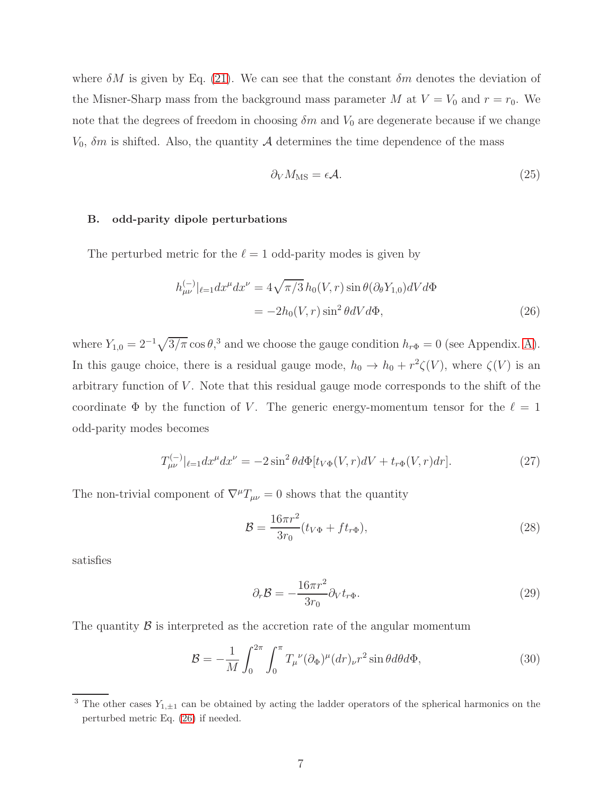where  $\delta M$  is given by Eq. [\(21\)](#page-5-0). We can see that the constant  $\delta m$  denotes the deviation of the Misner-Sharp mass from the background mass parameter M at  $V = V_0$  and  $r = r_0$ . We note that the degrees of freedom in choosing  $\delta m$  and  $V_0$  are degenerate because if we change  $V_0$ ,  $\delta m$  is shifted. Also, the quantity A determines the time dependence of the mass

<span id="page-6-0"></span>
$$
\partial_V M_{\rm MS} = \epsilon \mathcal{A}.\tag{25}
$$

#### B. odd-parity dipole perturbations

The perturbed metric for the  $\ell = 1$  odd-parity modes is given by

$$
h_{\mu\nu}^{(-)}|_{\ell=1}dx^{\mu}dx^{\nu} = 4\sqrt{\pi/3}h_0(V,r)\sin\theta(\partial_{\theta}Y_{1,0})dVd\Phi
$$

$$
= -2h_0(V,r)\sin^2\theta dVd\Phi,
$$
(26)

where  $Y_{1,0} = 2^{-1}\sqrt{3/\pi} \cos \theta$ ,<sup>3</sup> and we choose the gauge condition  $h_{r\Phi} = 0$  (see Appendix. [A\)](#page-29-0). In this gauge choice, there is a residual gauge mode,  $h_0 \to h_0 + r^2 \zeta(V)$ , where  $\zeta(V)$  is an arbitrary function of V . Note that this residual gauge mode corresponds to the shift of the coordinate  $\Phi$  by the function of V. The generic energy-momentum tensor for the  $\ell = 1$ odd-parity modes becomes

$$
T_{\mu\nu}^{(-)}|_{\ell=1} dx^{\mu} dx^{\nu} = -2\sin^2 \theta d\Phi[t_{V\Phi}(V,r)dV + t_{r\Phi}(V,r)dr].
$$
 (27)

The non-trivial component of  $\nabla^{\mu}T_{\mu\nu}=0$  shows that the quantity

<span id="page-6-2"></span>
$$
\mathcal{B} = \frac{16\pi r^2}{3r_0} (t_{V\Phi} + ft_{r\Phi}),
$$
\n(28)

satisfies

<span id="page-6-1"></span>
$$
\partial_r \mathcal{B} = -\frac{16\pi r^2}{3r_0} \partial_V t_{r\Phi}.
$$
\n(29)

The quantity  $\beta$  is interpreted as the accretion rate of the angular momentum

$$
\mathcal{B} = -\frac{1}{M} \int_0^{2\pi} \int_0^{\pi} T_{\mu}^{\ \nu} (\partial_{\Phi})^{\mu} (dr)_{\nu} r^2 \sin \theta d\theta d\Phi, \tag{30}
$$

<sup>&</sup>lt;sup>3</sup> The other cases  $Y_{1,\pm 1}$  can be obtained by acting the ladder operators of the spherical harmonics on the perturbed metric Eq. [\(26\)](#page-6-0) if needed.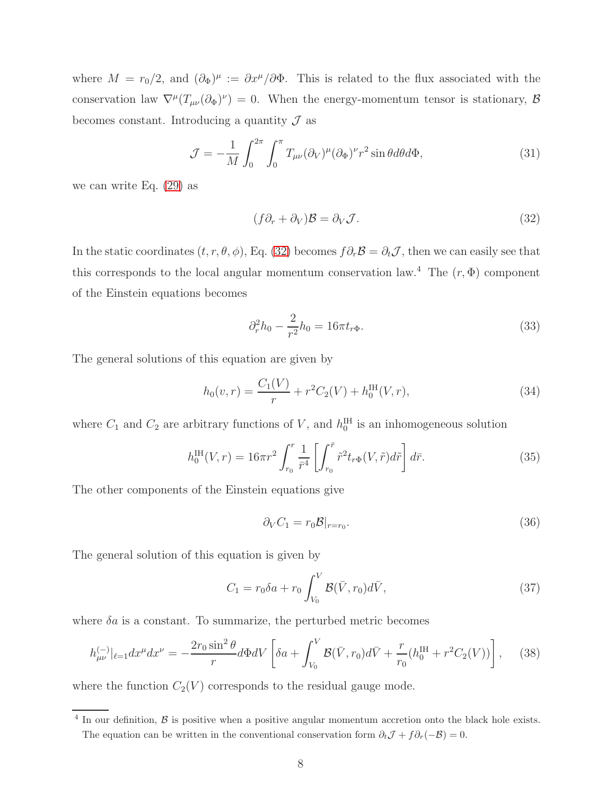where  $M = r_0/2$ , and  $(\partial_\Phi)^\mu := \partial x^\mu/\partial \Phi$ . This is related to the flux associated with the conservation law  $\nabla^{\mu}(T_{\mu\nu}(\partial_{\Phi})^{\nu})=0$ . When the energy-momentum tensor is stationary,  $\mathcal{B}$ becomes constant. Introducing a quantity  $\mathcal J$  as

$$
\mathcal{J} = -\frac{1}{M} \int_0^{2\pi} \int_0^{\pi} T_{\mu\nu} (\partial_V)^{\mu} (\partial_\Phi)^{\nu} r^2 \sin\theta d\theta d\Phi, \tag{31}
$$

we can write Eq. [\(29\)](#page-6-1) as

<span id="page-7-0"></span>
$$
(f\partial_r + \partial_V)\mathcal{B} = \partial_V \mathcal{J}.
$$
 (32)

In the static coordinates  $(t, r, \theta, \phi)$ , Eq. [\(32\)](#page-7-0) becomes  $f \partial_r \mathcal{B} = \partial_t \mathcal{J}$ , then we can easily see that this corresponds to the local angular momentum conservation law.<sup>4</sup> The  $(r, \Phi)$  component of the Einstein equations becomes

$$
\partial_r^2 h_0 - \frac{2}{r^2} h_0 = 16\pi t_{r\Phi}.
$$
\n(33)

The general solutions of this equation are given by

$$
h_0(v,r) = \frac{C_1(V)}{r} + r^2 C_2(V) + h_0^{\text{IH}}(V,r),\tag{34}
$$

where  $C_1$  and  $C_2$  are arbitrary functions of V, and  $h_0^{\text{IH}}$  is an inhomogeneous solution

$$
h_0^{\text{IH}}(V,r) = 16\pi r^2 \int_{r_0}^r \frac{1}{\bar{r}^4} \left[ \int_{r_0}^{\bar{r}} \tilde{r}^2 t_{r\Phi}(V,\tilde{r}) d\tilde{r} \right] d\bar{r}.
$$
 (35)

The other components of the Einstein equations give

<span id="page-7-2"></span><span id="page-7-1"></span>
$$
\partial_V C_1 = r_0 \mathcal{B}|_{r=r_0}.\tag{36}
$$

The general solution of this equation is given by

$$
C_1 = r_0 \delta a + r_0 \int_{V_0}^V \mathcal{B}(\bar{V}, r_0) d\bar{V}, \qquad (37)
$$

where  $\delta a$  is a constant. To summarize, the perturbed metric becomes

$$
h_{\mu\nu}^{(-)}|_{\ell=1}dx^{\mu}dx^{\nu} = -\frac{2r_0\sin^2\theta}{r}d\Phi dV\left[\delta a + \int_{V_0}^V \mathcal{B}(\bar{V}, r_0)d\bar{V} + \frac{r}{r_0}(h_0^{\text{IH}} + r^2C_2(V))\right],\tag{38}
$$

where the function  $C_2(V)$  corresponds to the residual gauge mode.

 $4$  In our definition,  $\beta$  is positive when a positive angular momentum accretion onto the black hole exists. The equation can be written in the conventional conservation form  $\partial_t \mathcal{J} + f \partial_r(-\mathcal{B}) = 0$ .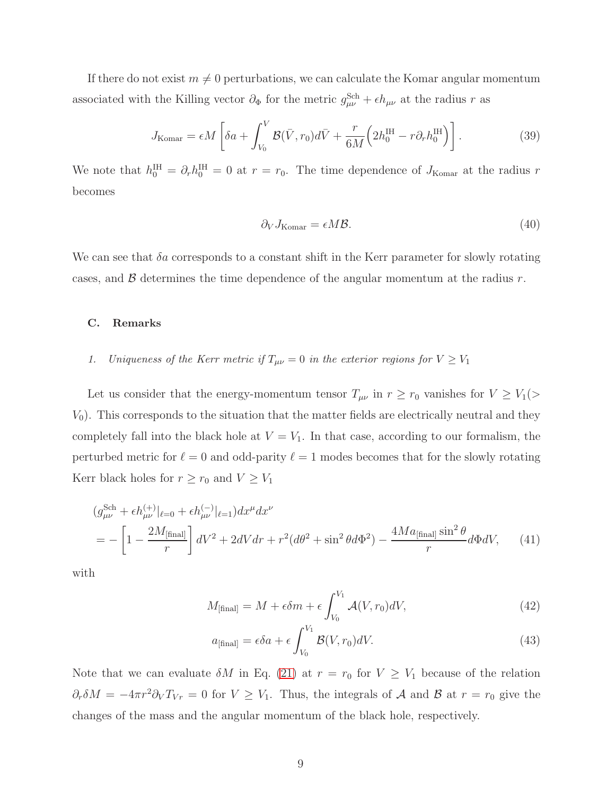If there do not exist  $m \neq 0$  perturbations, we can calculate the Komar angular momentum associated with the Killing vector  $\partial_{\Phi}$  for the metric  $g_{\mu\nu}^{\text{Sch}} + \epsilon h_{\mu\nu}$  at the radius r as

$$
J_{\text{Komar}} = \epsilon M \left[ \delta a + \int_{V_0}^{V} \mathcal{B}(\bar{V}, r_0) d\bar{V} + \frac{r}{6M} \left( 2h_0^{\text{IH}} - r \partial_r h_0^{\text{IH}} \right) \right]. \tag{39}
$$

We note that  $h_0^{\text{IH}} = \partial_r h_0^{\text{IH}} = 0$  at  $r = r_0$ . The time dependence of  $J_{\text{Komar}}$  at the radius r becomes

$$
\partial_V J_{\text{Komar}} = \epsilon M \mathcal{B}.\tag{40}
$$

We can see that  $\delta a$  corresponds to a constant shift in the Kerr parameter for slowly rotating cases, and  $\beta$  determines the time dependence of the angular momentum at the radius r.

#### C. Remarks

# 1. Uniqueness of the Kerr metric if  $T_{\mu\nu} = 0$  in the exterior regions for  $V \geq V_1$

Let us consider that the energy-momentum tensor  $T_{\mu\nu}$  in  $r \ge r_0$  vanishes for  $V \ge V_1$ (>  $V_0$ ). This corresponds to the situation that the matter fields are electrically neutral and they completely fall into the black hole at  $V = V_1$ . In that case, according to our formalism, the perturbed metric for  $\ell = 0$  and odd-parity  $\ell = 1$  modes becomes that for the slowly rotating Kerr black holes for  $r \ge r_0$  and  $V \ge V_1$ 

$$
(g_{\mu\nu}^{\text{Sch}} + \epsilon h_{\mu\nu}^{(+)}|_{\ell=0} + \epsilon h_{\mu\nu}^{(-)}|_{\ell=1}) dx^{\mu} dx^{\nu}
$$
  
= 
$$
- \left[1 - \frac{2M_{\text{[final]}}}{r}\right] dV^2 + 2dV dr + r^2(d\theta^2 + \sin^2 \theta d\Phi^2) - \frac{4Ma_{\text{[final]}}\sin^2 \theta}{r} d\Phi dV,
$$
 (41)

with

$$
M_{\text{[final]}} = M + \epsilon \delta m + \epsilon \int_{V_0}^{V_1} \mathcal{A}(V, r_0) dV,\tag{42}
$$

$$
a_{\text{[final]}} = \epsilon \delta a + \epsilon \int_{V_0}^{V_1} \mathcal{B}(V, r_0) dV. \tag{43}
$$

Note that we can evaluate  $\delta M$  in Eq. [\(21\)](#page-5-0) at  $r = r_0$  for  $V \geq V_1$  because of the relation  $\partial_r \delta M = -4\pi r^2 \partial_V T_{Vr} = 0$  for  $V \geq V_1$ . Thus, the integrals of A and B at  $r = r_0$  give the changes of the mass and the angular momentum of the black hole, respectively.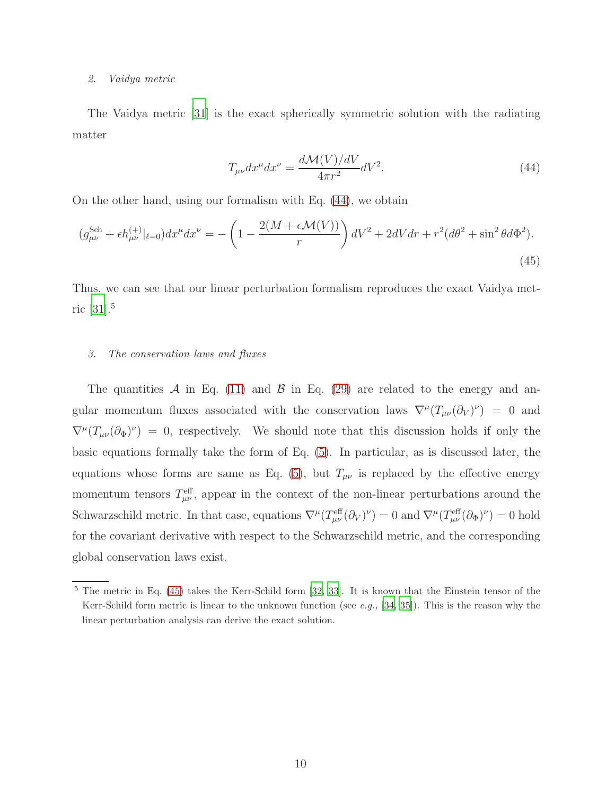#### 2. Vaidya metric

The Vaidya metric [\[31\]](#page-34-1) is the exact spherically symmetric solution with the radiating matter

<span id="page-9-1"></span><span id="page-9-0"></span>
$$
T_{\mu\nu}dx^{\mu}dx^{\nu} = \frac{d\mathcal{M}(V)/dV}{4\pi r^2}dV^2.
$$
\n(44)

On the other hand, using our formalism with Eq. [\(44\)](#page-9-0), we obtain

$$
(g_{\mu\nu}^{\text{Sch}} + \epsilon h_{\mu\nu}^{(+)}|_{\ell=0})dx^{\mu}dx^{\nu} = -\left(1 - \frac{2(M + \epsilon \mathcal{M}(V))}{r}\right)dV^{2} + 2dVdr + r^{2}(d\theta^{2} + \sin^{2}\theta d\Phi^{2}).
$$
\n(45)

Thus, we can see that our linear perturbation formalism reproduces the exact Vaidya metric [\[31\]](#page-34-1).<sup>5</sup>

#### <span id="page-9-2"></span>3. The conservation laws and fluxes

The quantities A in Eq. [\(11\)](#page-4-0) and B in Eq. [\(29\)](#page-6-1) are related to the energy and angular momentum fluxes associated with the conservation laws  $\nabla^{\mu}(T_{\mu\nu}(\partial_V)^{\nu}) = 0$  and  $\nabla^{\mu}(T_{\mu\nu}(\partial_{\Phi})^{\nu}) = 0$ , respectively. We should note that this discussion holds if only the basic equations formally take the form of Eq. [\(5\)](#page-3-0). In particular, as is discussed later, the equations whose forms are same as Eq. [\(5\)](#page-3-0), but  $T_{\mu\nu}$  is replaced by the effective energy momentum tensors  $T_{\mu\nu}^{\text{eff}}$ , appear in the context of the non-linear perturbations around the Schwarzschild metric. In that case, equations  $\nabla^{\mu}(T^{\text{eff}}_{\mu\nu}(\partial_{V})^{\nu}) = 0$  and  $\nabla^{\mu}(T^{\text{eff}}_{\mu\nu}(\partial_{\Phi})^{\nu}) = 0$  hold for the covariant derivative with respect to the Schwarzschild metric, and the corresponding global conservation laws exist.

 $5$  The metric in Eq. [\(45\)](#page-9-1) takes the Kerr-Schild form [\[32,](#page-34-2) [33](#page-34-3)]. It is known that the Einstein tensor of the Kerr-Schild form metric is linear to the unknown function (see e.g.,  $[34, 35]$  $[34, 35]$ ). This is the reason why the linear perturbation analysis can derive the exact solution.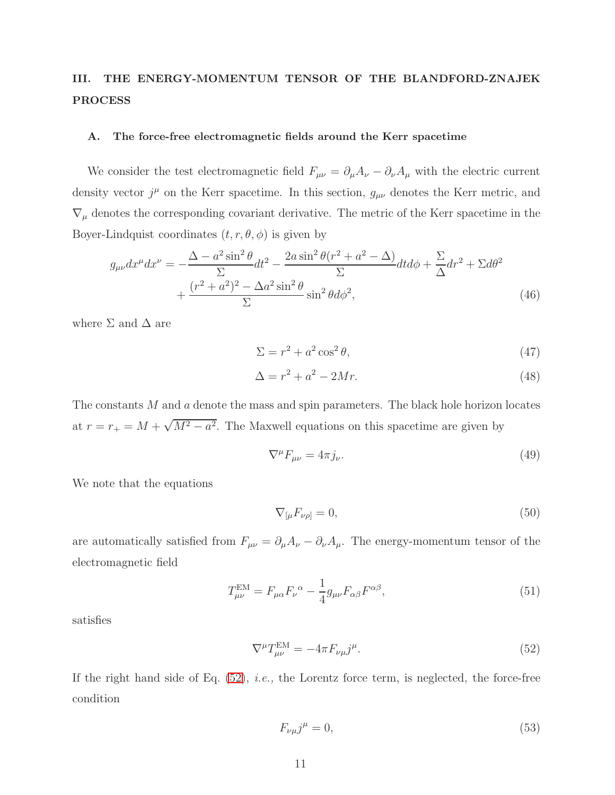# <span id="page-10-0"></span>III. THE ENERGY-MOMENTUM TENSOR OF THE BLANDFORD-ZNAJEK PROCESS

#### A. The force-free electromagnetic fields around the Kerr spacetime

We consider the test electromagnetic field  $F_{\mu\nu} = \partial_{\mu}A_{\nu} - \partial_{\nu}A_{\mu}$  with the electric current density vector  $j^{\mu}$  on the Kerr spacetime. In this section,  $g_{\mu\nu}$  denotes the Kerr metric, and  $\nabla_\mu$  denotes the corresponding covariant derivative. The metric of the Kerr spacetime in the Boyer-Lindquist coordinates  $(t, r, \theta, \phi)$  is given by

$$
g_{\mu\nu}dx^{\mu}dx^{\nu} = -\frac{\Delta - a^2\sin^2\theta}{\Sigma}dt^2 - \frac{2a\sin^2\theta(r^2 + a^2 - \Delta)}{\Sigma}dtd\phi + \frac{\Sigma}{\Delta}dr^2 + \Sigma d\theta^2
$$

$$
+ \frac{(r^2 + a^2)^2 - \Delta a^2\sin^2\theta}{\Sigma}\sin^2\theta d\phi^2,
$$
(46)

where  $\Sigma$  and  $\Delta$  are

$$
\Sigma = r^2 + a^2 \cos^2 \theta,\tag{47}
$$

$$
\Delta = r^2 + a^2 - 2Mr.\tag{48}
$$

The constants M and a denote the mass and spin parameters. The black hole horizon locates at  $r = r_+ = M + \sqrt{M^2 - a^2}$ . The Maxwell equations on this spacetime are given by

<span id="page-10-4"></span>
$$
\nabla^{\mu}F_{\mu\nu} = 4\pi j_{\nu}.\tag{49}
$$

We note that the equations

<span id="page-10-5"></span><span id="page-10-3"></span>
$$
\nabla_{\left[\mu} F_{\nu\rho\right]} = 0,\tag{50}
$$

are automatically satisfied from  $F_{\mu\nu} = \partial_{\mu}A_{\nu} - \partial_{\nu}A_{\mu}$ . The energy-momentum tensor of the electromagnetic field

$$
T_{\mu\nu}^{\text{EM}} = F_{\mu\alpha} F_{\nu}^{\ \alpha} - \frac{1}{4} g_{\mu\nu} F_{\alpha\beta} F^{\alpha\beta},\tag{51}
$$

satisfies

$$
\nabla^{\mu}T_{\mu\nu}^{\text{EM}} = -4\pi F_{\nu\mu}j^{\mu}.\tag{52}
$$

If the right hand side of Eq.  $(52)$ , *i.e.*, the Lorentz force term, is neglected, the force-free condition

<span id="page-10-2"></span><span id="page-10-1"></span>
$$
F_{\nu\mu}j^{\mu} = 0,\tag{53}
$$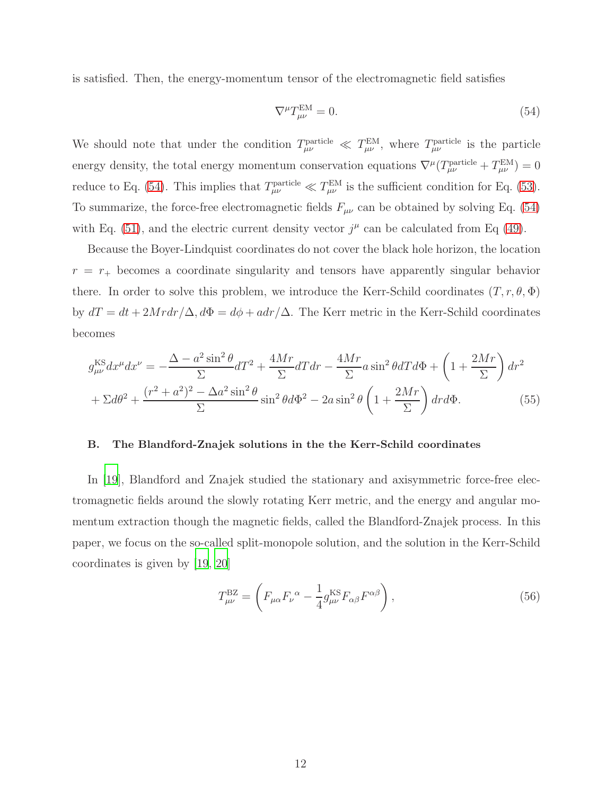is satisfied. Then, the energy-momentum tensor of the electromagnetic field satisfies

<span id="page-11-0"></span>
$$
\nabla^{\mu}T_{\mu\nu}^{\text{EM}} = 0. \tag{54}
$$

We should note that under the condition  $T_{\mu\nu}^{\text{particle}} \ll T_{\mu\nu}^{\text{EM}}$ , where  $T_{\mu\nu}^{\text{particle}}$  is the particle energy density, the total energy momentum conservation equations  $\nabla^{\mu} (T^{\text{particle}}_{\mu\nu} + T^{\text{EM}}_{\mu\nu}) = 0$ reduce to Eq. [\(54\)](#page-11-0). This implies that  $T_{\mu\nu}^{\text{particle}} \ll T_{\mu\nu}^{\text{EM}}$  is the sufficient condition for Eq. [\(53\)](#page-10-2). To summarize, the force-free electromagnetic fields  $F_{\mu\nu}$  can be obtained by solving Eq. [\(54\)](#page-11-0) with Eq. [\(51\)](#page-10-3), and the electric current density vector  $j^{\mu}$  can be calculated from Eq [\(49\)](#page-10-4).

Because the Boyer-Lindquist coordinates do not cover the black hole horizon, the location  $r = r_{+}$  becomes a coordinate singularity and tensors have apparently singular behavior there. In order to solve this problem, we introduce the Kerr-Schild coordinates  $(T, r, \theta, \Phi)$ by  $dT = dt + 2Mrdr/\Delta$ ,  $d\Phi = d\phi + adr/\Delta$ . The Kerr metric in the Kerr-Schild coordinates becomes

$$
g_{\mu\nu}^{\text{KS}} dx^{\mu} dx^{\nu} = -\frac{\Delta - a^2 \sin^2 \theta}{\Sigma} dT^2 + \frac{4Mr}{\Sigma} dT dr - \frac{4Mr}{\Sigma} a \sin^2 \theta dT d\Phi + \left(1 + \frac{2Mr}{\Sigma}\right) dr^2
$$

$$
+ \Sigma d\theta^2 + \frac{(r^2 + a^2)^2 - \Delta a^2 \sin^2 \theta}{\Sigma} \sin^2 \theta d\Phi^2 - 2a \sin^2 \theta \left(1 + \frac{2Mr}{\Sigma}\right) dr d\Phi. \tag{55}
$$

#### B. The Blandford-Znajek solutions in the the Kerr-Schild coordinates

In [\[19](#page-33-12)], Blandford and Znajek studied the stationary and axisymmetric force-free electromagnetic fields around the slowly rotating Kerr metric, and the energy and angular momentum extraction though the magnetic fields, called the Blandford-Znajek process. In this paper, we focus on the so-called split-monopole solution, and the solution in the Kerr-Schild coordinates is given by [\[19,](#page-33-12) [20\]](#page-33-13)

$$
T_{\mu\nu}^{\rm BZ} = \left( F_{\mu\alpha} F_{\nu}^{\ \alpha} - \frac{1}{4} g_{\mu\nu}^{\rm KS} F_{\alpha\beta} F^{\alpha\beta} \right),\tag{56}
$$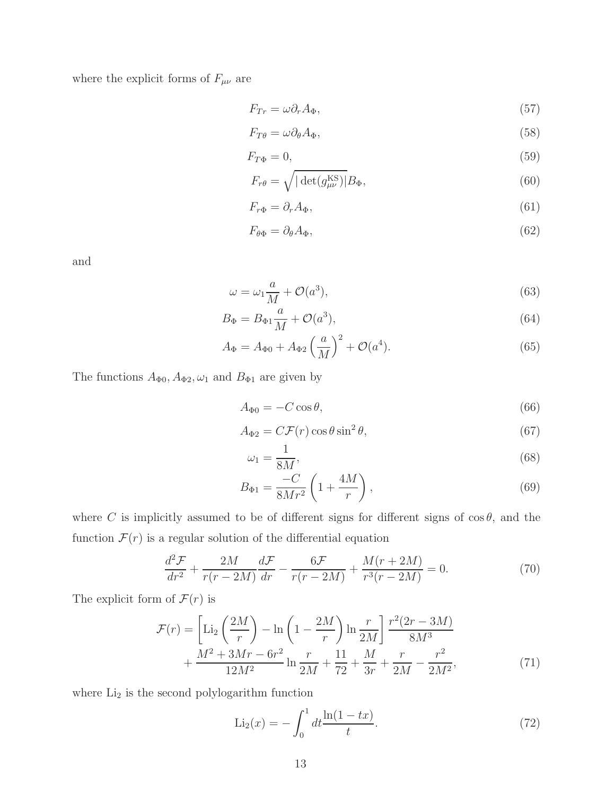where the explicit forms of  $F_{\mu\nu}$  are

$$
F_{Tr} = \omega \partial_r A_\Phi, \tag{57}
$$

$$
F_{T\theta} = \omega \partial_{\theta} A_{\Phi},\tag{58}
$$

$$
F_{T\Phi} = 0,\t\t(59)
$$

$$
F_{r\theta} = \sqrt{|\det(g_{\mu\nu}^{\text{KS}})|} B_{\Phi},\tag{60}
$$

$$
F_{r\Phi} = \partial_r A_{\Phi},\tag{61}
$$

$$
F_{\theta\Phi} = \partial_{\theta} A_{\Phi},\tag{62}
$$

and

$$
\omega = \omega_1 \frac{a}{M} + \mathcal{O}(a^3),\tag{63}
$$

$$
B_{\Phi} = B_{\Phi 1} \frac{a}{M} + \mathcal{O}(a^3),\tag{64}
$$

$$
A_{\Phi} = A_{\Phi 0} + A_{\Phi 2} \left(\frac{a}{M}\right)^2 + \mathcal{O}(a^4).
$$
 (65)

The functions  $A_{\Phi 0}$ ,  $A_{\Phi 2}$ ,  $\omega_1$  and  $B_{\Phi 1}$  are given by

$$
A_{\Phi 0} = -C\cos\theta,\tag{66}
$$

$$
A_{\Phi 2} = C \mathcal{F}(r) \cos \theta \sin^2 \theta, \tag{67}
$$

$$
\omega_1 = \frac{1}{8M},\tag{68}
$$

$$
B_{\Phi 1} = \frac{-C}{8Mr^2} \left( 1 + \frac{4M}{r} \right),\tag{69}
$$

where C is implicitly assumed to be of different signs for different signs of  $\cos \theta$ , and the function  $\mathcal{F}(r)$  is a regular solution of the differential equation

$$
\frac{d^2\mathcal{F}}{dr^2} + \frac{2M}{r(r-2M)}\frac{d\mathcal{F}}{dr} - \frac{6\mathcal{F}}{r(r-2M)} + \frac{M(r+2M)}{r^3(r-2M)} = 0.
$$
 (70)

The explicit form of  $\mathcal{F}(r)$  is

$$
\mathcal{F}(r) = \left[ \text{Li}_2\left(\frac{2M}{r}\right) - \ln\left(1 - \frac{2M}{r}\right) \ln\frac{r}{2M} \right] \frac{r^2(2r - 3M)}{8M^3} + \frac{M^2 + 3Mr - 6r^2}{12M^2} \ln\frac{r}{2M} + \frac{11}{72} + \frac{M}{3r} + \frac{r}{2M} - \frac{r^2}{2M^2},\tag{71}
$$

where  $\operatorname{Li}_2$  is the second polylogarithm function

$$
\text{Li}_2(x) = -\int_0^1 dt \frac{\ln(1 - tx)}{t}.
$$
\n(72)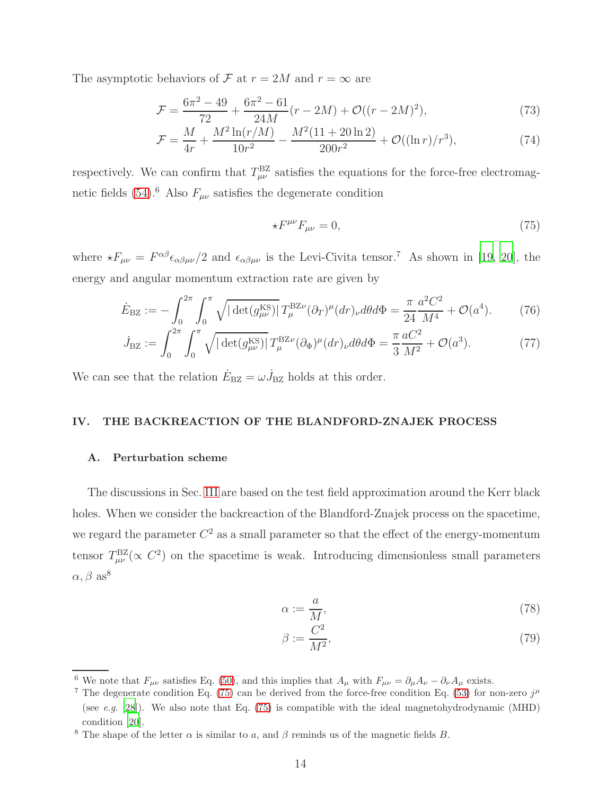The asymptotic behaviors of F at  $r = 2M$  and  $r = \infty$  are

$$
\mathcal{F} = \frac{6\pi^2 - 49}{72} + \frac{6\pi^2 - 61}{24M}(r - 2M) + \mathcal{O}((r - 2M)^2),\tag{73}
$$

$$
\mathcal{F} = \frac{M}{4r} + \frac{M^2 \ln(r/M)}{10r^2} - \frac{M^2(11+20\ln 2)}{200r^2} + \mathcal{O}((\ln r)/r^3),\tag{74}
$$

respectively. We can confirm that  $T_{\mu\nu}^{\rm BZ}$  satisfies the equations for the force-free electromagnetic fields  $(54)$ .<sup>6</sup> Also  $F_{\mu\nu}$  satisfies the degenerate condition

<span id="page-13-3"></span><span id="page-13-2"></span><span id="page-13-1"></span>
$$
\star F^{\mu\nu}F_{\mu\nu} = 0,\tag{75}
$$

where  $\star F_{\mu\nu} = F^{\alpha\beta} \epsilon_{\alpha\beta\mu\nu}/2$  and  $\epsilon_{\alpha\beta\mu\nu}$  is the Levi-Civita tensor.<sup>7</sup> As shown in [\[19,](#page-33-12) [20\]](#page-33-13), the energy and angular momentum extraction rate are given by

$$
\dot{E}_{\text{BZ}} := -\int_0^{2\pi} \int_0^{\pi} \sqrt{|\det(g_{\mu\nu}^{\text{KS}})|} \, T_{\mu}^{\text{BZ}\nu} (\partial_T)^{\mu} (dr)_{\nu} d\theta d\Phi = \frac{\pi}{24} \frac{a^2 C^2}{M^4} + \mathcal{O}(a^4). \tag{76}
$$

$$
\dot{J}_{\text{BZ}} := \int_0^{2\pi} \int_0^{\pi} \sqrt{|\det(g_{\mu\nu}^{\text{KS}})|} \, T_{\mu}^{\text{BZ}\nu} (\partial_{\Phi})^{\mu} (dr)_{\nu} d\theta d\Phi = \frac{\pi}{3} \frac{aC^2}{M^2} + \mathcal{O}(a^3). \tag{77}
$$

We can see that the relation  $\dot{E}_{\text{BZ}} = \omega \dot{J}_{\text{BZ}}$  holds at this order.

### <span id="page-13-0"></span>IV. THE BACKREACTION OF THE BLANDFORD-ZNAJEK PROCESS

### A. Perturbation scheme

The discussions in Sec. [III](#page-10-0) are based on the test field approximation around the Kerr black holes. When we consider the backreaction of the Blandford-Znajek process on the spacetime, we regard the parameter  $C^2$  as a small parameter so that the effect of the energy-momentum tensor  $T^{\rm BZ}_{\mu\nu}(\propto C^2)$  on the spacetime is weak. Introducing dimensionless small parameters  $\alpha, \beta$  as<sup>8</sup>

$$
\alpha := \frac{a}{M},\tag{78}
$$

$$
\beta := \frac{C^2}{M^2},\tag{79}
$$

<sup>&</sup>lt;sup>6</sup> We note that  $F_{\mu\nu}$  satisfies Eq. [\(50\)](#page-10-5), and this implies that  $A_{\mu}$  with  $F_{\mu\nu} = \partial_{\mu}A_{\nu} - \partial_{\nu}A_{\mu}$  exists.

<sup>&</sup>lt;sup>7</sup> The degenerate condition Eq. [\(75\)](#page-13-1) can be derived from the force-free condition Eq. [\(53\)](#page-10-2) for non-zero  $j^{\mu}$ (see e.g. [\[28\]](#page-34-6)). We also note that Eq.  $(75)$  is compatible with the ideal magnetohydrodynamic (MHD) condition [\[20](#page-33-13)].

<sup>&</sup>lt;sup>8</sup> The shape of the letter  $\alpha$  is similar to a, and  $\beta$  reminds us of the magnetic fields B.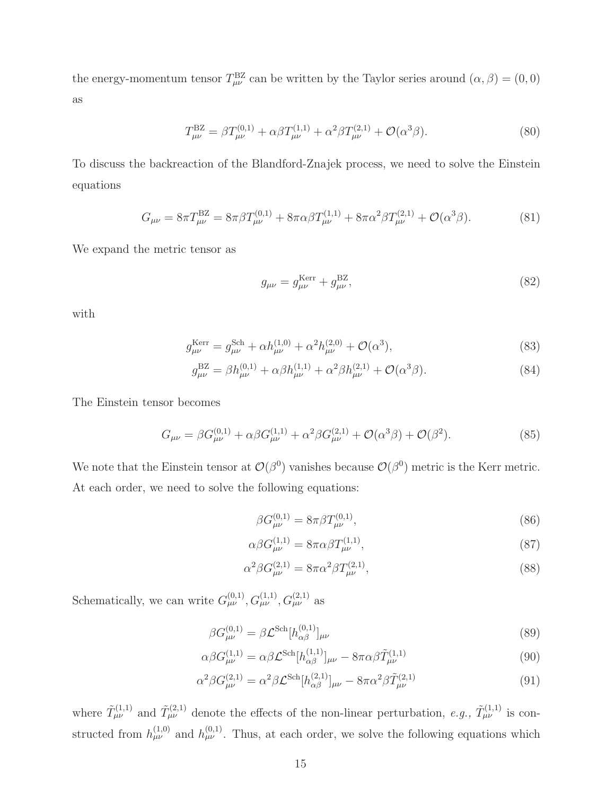the energy-momentum tensor  $T_{\mu\nu}^{BZ}$  can be written by the Taylor series around  $(\alpha, \beta) = (0, 0)$ as

$$
T_{\mu\nu}^{\rm BZ} = \beta T_{\mu\nu}^{(0,1)} + \alpha \beta T_{\mu\nu}^{(1,1)} + \alpha^2 \beta T_{\mu\nu}^{(2,1)} + \mathcal{O}(\alpha^3 \beta). \tag{80}
$$

To discuss the backreaction of the Blandford-Znajek process, we need to solve the Einstein equations

$$
G_{\mu\nu} = 8\pi T_{\mu\nu}^{\text{BZ}} = 8\pi \beta T_{\mu\nu}^{(0,1)} + 8\pi \alpha \beta T_{\mu\nu}^{(1,1)} + 8\pi \alpha^2 \beta T_{\mu\nu}^{(2,1)} + \mathcal{O}(\alpha^3 \beta). \tag{81}
$$

We expand the metric tensor as

<span id="page-14-0"></span>
$$
g_{\mu\nu} = g_{\mu\nu}^{\text{Kerr}} + g_{\mu\nu}^{\text{BZ}},\tag{82}
$$

with

$$
g_{\mu\nu}^{\text{Kerr}} = g_{\mu\nu}^{\text{Sch}} + \alpha h_{\mu\nu}^{(1,0)} + \alpha^2 h_{\mu\nu}^{(2,0)} + \mathcal{O}(\alpha^3),\tag{83}
$$

$$
g_{\mu\nu}^{\rm BZ} = \beta h_{\mu\nu}^{(0,1)} + \alpha \beta h_{\mu\nu}^{(1,1)} + \alpha^2 \beta h_{\mu\nu}^{(2,1)} + \mathcal{O}(\alpha^3 \beta). \tag{84}
$$

The Einstein tensor becomes

$$
G_{\mu\nu} = \beta G^{(0,1)}_{\mu\nu} + \alpha \beta G^{(1,1)}_{\mu\nu} + \alpha^2 \beta G^{(2,1)}_{\mu\nu} + \mathcal{O}(\alpha^3 \beta) + \mathcal{O}(\beta^2). \tag{85}
$$

We note that the Einstein tensor at  $\mathcal{O}(\beta^0)$  vanishes because  $\mathcal{O}(\beta^0)$  metric is the Kerr metric. At each order, we need to solve the following equations:

$$
\beta G_{\mu\nu}^{(0,1)} = 8\pi \beta T_{\mu\nu}^{(0,1)},\tag{86}
$$

$$
\alpha \beta G^{(1,1)}_{\mu\nu} = 8\pi \alpha \beta T^{(1,1)}_{\mu\nu},\tag{87}
$$

$$
\alpha^2 \beta G_{\mu\nu}^{(2,1)} = 8\pi \alpha^2 \beta T_{\mu\nu}^{(2,1)},\tag{88}
$$

Schematically, we can write  $G_{\mu\nu}^{(0,1)}, G_{\mu\nu}^{(1,1)}, G_{\mu\nu}^{(2,1)}$  as

$$
\beta G_{\mu\nu}^{(0,1)} = \beta \mathcal{L}^{\text{Sch}} [h_{\alpha\beta}^{(0,1)}]_{\mu\nu}
$$
\n(89)

$$
\alpha\beta G^{(1,1)}_{\mu\nu} = \alpha\beta \mathcal{L}^{\text{Sch}}[h^{(1,1)}_{\alpha\beta}]_{\mu\nu} - 8\pi\alpha\beta \tilde{T}^{(1,1)}_{\mu\nu}
$$
\n(90)

$$
\alpha^2 \beta G_{\mu\nu}^{(2,1)} = \alpha^2 \beta \mathcal{L}^{\text{Sch}} [h_{\alpha\beta}^{(2,1)}]_{\mu\nu} - 8\pi \alpha^2 \beta \tilde{T}_{\mu\nu}^{(2,1)}
$$
(91)

where  $\tilde{T}^{(1,1)}_{\mu\nu}$  and  $\tilde{T}^{(2,1)}_{\mu\nu}$  denote the effects of the non-linear perturbation, e.g.,  $\tilde{T}^{(1,1)}_{\mu\nu}$  is constructed from  $h_{\mu\nu}^{(1,0)}$  and  $h_{\mu\nu}^{(0,1)}$ . Thus, at each order, we solve the following equations which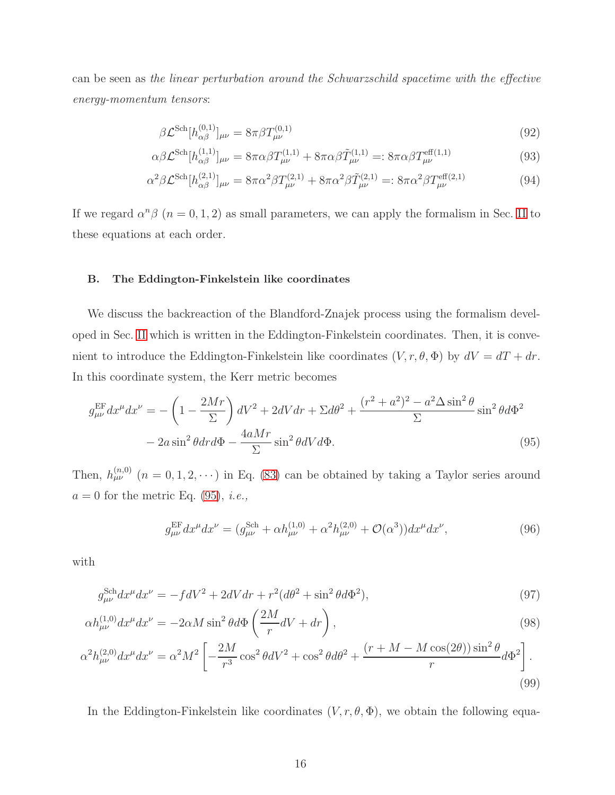can be seen as the linear perturbation around the Schwarzschild spacetime with the effective energy-momentum tensors:

$$
\beta \mathcal{L}^{\text{Sch}}[h_{\alpha\beta}^{(0,1)}]_{\mu\nu} = 8\pi \beta T_{\mu\nu}^{(0,1)} \tag{92}
$$

$$
\alpha \beta \mathcal{L}^{\text{Sch}}[h_{\alpha\beta}^{(1,1)}]_{\mu\nu} = 8\pi \alpha \beta T_{\mu\nu}^{(1,1)} + 8\pi \alpha \beta \tilde{T}_{\mu\nu}^{(1,1)} =: 8\pi \alpha \beta T_{\mu\nu}^{\text{eff}(1,1)}
$$
(93)

$$
\alpha^2 \beta \mathcal{L}^{\text{Sch}} [h_{\alpha\beta}^{(2,1)}]_{\mu\nu} = 8\pi \alpha^2 \beta T_{\mu\nu}^{(2,1)} + 8\pi \alpha^2 \beta \tilde{T}_{\mu\nu}^{(2,1)} =: 8\pi \alpha^2 \beta T_{\mu\nu}^{\text{eff}(2,1)}
$$
(94)

If we regard  $\alpha^n \beta$   $(n = 0, 1, 2)$  as small parameters, we can apply the formalism in Sec. [II](#page-2-0) to these equations at each order.

#### B. The Eddington-Finkelstein like coordinates

We discuss the backreaction of the Blandford-Znajek process using the formalism developed in Sec. [II](#page-2-0) which is written in the Eddington-Finkelstein coordinates. Then, it is convenient to introduce the Eddington-Finkelstein like coordinates  $(V, r, \theta, \Phi)$  by  $dV = dT + dr$ . In this coordinate system, the Kerr metric becomes

$$
g_{\mu\nu}^{\text{EF}} dx^{\mu} dx^{\nu} = -\left(1 - \frac{2Mr}{\Sigma}\right) dV^2 + 2dV dr + \Sigma d\theta^2 + \frac{(r^2 + a^2)^2 - a^2 \Delta \sin^2 \theta}{\Sigma} \sin^2 \theta d\Phi^2
$$

$$
-2a \sin^2 \theta dr d\Phi - \frac{4aMr}{\Sigma} \sin^2 \theta dV d\Phi. \tag{95}
$$

Then,  $h_{\mu\nu}^{(n,0)}$   $(n = 0, 1, 2, \cdots)$  in Eq. [\(83\)](#page-14-0) can be obtained by taking a Taylor series around  $a = 0$  for the metric Eq. [\(95\)](#page-15-0), *i.e.*,

<span id="page-15-0"></span>
$$
g_{\mu\nu}^{\text{EF}} dx^{\mu} dx^{\nu} = (g_{\mu\nu}^{\text{Sch}} + \alpha h_{\mu\nu}^{(1,0)} + \alpha^2 h_{\mu\nu}^{(2,0)} + \mathcal{O}(\alpha^3)) dx^{\mu} dx^{\nu}, \tag{96}
$$

with

$$
g_{\mu\nu}^{\text{Sch}} dx^{\mu} dx^{\nu} = -fdV^{2} + 2dVdr + r^{2}(d\theta^{2} + \sin^{2}\theta d\Phi^{2}), \qquad (97)
$$

$$
\alpha h_{\mu\nu}^{(1,0)} dx^{\mu} dx^{\nu} = -2\alpha M \sin^2 \theta d\Phi \left(\frac{2M}{r} dV + dr\right),\tag{98}
$$

$$
\alpha^2 h_{\mu\nu}^{(2,0)} dx^{\mu} dx^{\nu} = \alpha^2 M^2 \left[ -\frac{2M}{r^3} \cos^2 \theta dV^2 + \cos^2 \theta d\theta^2 + \frac{(r+M-M\cos(2\theta))\sin^2 \theta}{r} d\Phi^2 \right].
$$
\n(99)

In the Eddington-Finkelstein like coordinates  $(V, r, \theta, \Phi)$ , we obtain the following equa-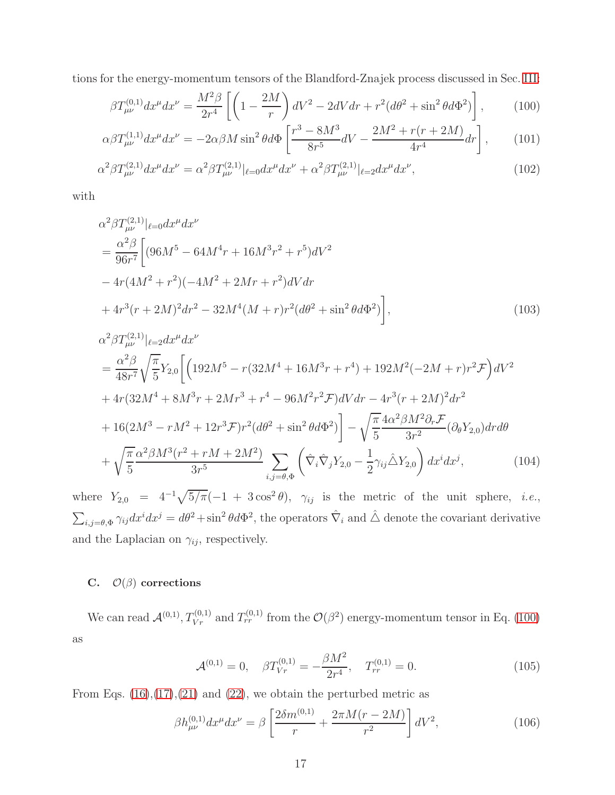tions for the energy-momentum tensors of the Blandford-Znajek process discussed in Sec. [III:](#page-10-0)

<span id="page-16-0"></span>
$$
\beta T_{\mu\nu}^{(0,1)} dx^{\mu} dx^{\nu} = \frac{M^2 \beta}{2r^4} \left[ \left( 1 - \frac{2M}{r} \right) dV^2 - 2dV dr + r^2 (d\theta^2 + \sin^2 \theta d\Phi^2) \right],\tag{100}
$$

$$
\alpha \beta T_{\mu\nu}^{(1,1)} dx^{\mu} dx^{\nu} = -2\alpha \beta M \sin^2 \theta d\Phi \left[ \frac{r^3 - 8M^3}{8r^5} dV - \frac{2M^2 + r(r + 2M)}{4r^4} dr \right],\tag{101}
$$

$$
\alpha^2 \beta T_{\mu\nu}^{(2,1)} dx^{\mu} dx^{\nu} = \alpha^2 \beta T_{\mu\nu}^{(2,1)}|_{\ell=0} dx^{\mu} dx^{\nu} + \alpha^2 \beta T_{\mu\nu}^{(2,1)}|_{\ell=2} dx^{\mu} dx^{\nu},\tag{102}
$$

with

$$
\alpha^2 \beta T_{\mu\nu}^{(2,1)}|_{\ell=0} dx^{\mu} dx^{\nu}
$$
  
= 
$$
\frac{\alpha^2 \beta}{96r^7} \bigg[ (96M^5 - 64M^4r + 16M^3r^2 + r^5)dV^2
$$
  
- 
$$
4r(4M^2 + r^2)(-4M^2 + 2Mr + r^2)dVdr
$$
  
+ 
$$
4r^3(r + 2M)^2 dr^2 - 32M^4(M + r)r^2(d\theta^2 + \sin^2\theta d\Phi^2) \bigg],
$$
 (103)

$$
\alpha^{2}\beta T_{\mu\nu}^{(2,1)}|_{\ell=2}dx^{\mu}dx^{\nu}
$$
\n
$$
= \frac{\alpha^{2}\beta}{48r^{7}}\sqrt{\frac{\pi}{5}}Y_{2,0}\left[\left(192M^{5}-r(32M^{4}+16M^{3}r+r^{4})+192M^{2}(-2M+r)r^{2}\mathcal{F}\right)dV^{2}\right.\n+4r(32M^{4}+8M^{3}r+2Mr^{3}+r^{4}-96M^{2}r^{2}\mathcal{F})dVdr-4r^{3}(r+2M)^{2}dr^{2}\n+16(2M^{3}-rM^{2}+12r^{3}\mathcal{F})r^{2}(d\theta^{2}+\sin^{2}\theta d\Phi^{2})\right]-\sqrt{\frac{\pi}{5}}\frac{4\alpha^{2}\beta M^{2}\partial_{r}\mathcal{F}}{3r^{2}}(\partial_{\theta}Y_{2,0})drd\theta\n+ \sqrt{\frac{\pi}{5}}\frac{\alpha^{2}\beta M^{3}(r^{2}+rM+2M^{2})}{3r^{5}}\sum_{i,j=\theta,\Phi}\left(\hat{\nabla}_{i}\hat{\nabla}_{j}Y_{2,0}-\frac{1}{2}\gamma_{ij}\hat{\Delta}Y_{2,0}\right)dx^{i}dx^{j}, \qquad (104)
$$

where  $Y_{2,0} = 4^{-1}\sqrt{5/\pi}(-1 + 3\cos^2\theta)$ ,  $\gamma_{ij}$  is the metric of the unit sphere, *i.e.*,  $\sum_{i,j=\theta,\Phi} \gamma_{ij} dx^i dx^j = d\theta^2 + \sin^2 \theta d\Phi^2$ , the operators  $\hat{\nabla}_i$  and  $\hat{\triangle}$  denote the covariant derivative and the Laplacian on  $\gamma_{ij}$ , respectively.

### <span id="page-16-1"></span>C.  $\mathcal{O}(\beta)$  corrections

We can read  $\mathcal{A}^{(0,1)}, T_{Vr}^{(0,1)}$  and  $T_{rr}^{(0,1)}$  from the  $\mathcal{O}(\beta^2)$  energy-momentum tensor in Eq. [\(100\)](#page-16-0) as

$$
\mathcal{A}^{(0,1)} = 0, \quad \beta T_{Vr}^{(0,1)} = -\frac{\beta M^2}{2r^4}, \quad T_{rr}^{(0,1)} = 0.
$$
 (105)

From Eqs.  $(16),(17),(21)$  $(16),(17),(21)$  $(16),(17),(21)$  $(16),(17),(21)$  and  $(22)$ , we obtain the perturbed metric as

$$
\beta h_{\mu\nu}^{(0,1)} dx^{\mu} dx^{\nu} = \beta \left[ \frac{2\delta m^{(0,1)}}{r} + \frac{2\pi M(r - 2M)}{r^2} \right] dV^2, \tag{106}
$$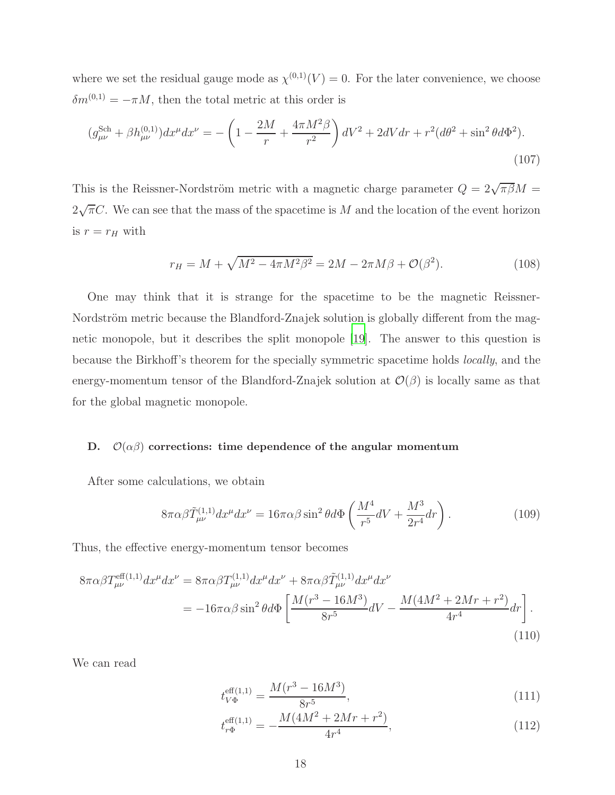where we set the residual gauge mode as  $\chi^{(0,1)}(V) = 0$ . For the later convenience, we choose  $\delta m^{(0,1)} = -\pi M$ , then the total metric at this order is

$$
(g_{\mu\nu}^{\text{Sch}} + \beta h_{\mu\nu}^{(0,1)})dx^{\mu}dx^{\nu} = -\left(1 - \frac{2M}{r} + \frac{4\pi M^2 \beta}{r^2}\right)dV^2 + 2dVdr + r^2(d\theta^2 + \sin^2\theta d\Phi^2).
$$
\n(107)

This is the Reissner-Nordström metric with a magnetic charge parameter  $Q = 2\sqrt{\pi \beta}M$  $2\sqrt{\pi}C$ . We can see that the mass of the spacetime is M and the location of the event horizon is  $r = r_H$  with

$$
r_H = M + \sqrt{M^2 - 4\pi M^2 \beta^2} = 2M - 2\pi M \beta + \mathcal{O}(\beta^2). \tag{108}
$$

One may think that it is strange for the spacetime to be the magnetic Reissner-Nordström metric because the Blandford-Znajek solution is globally different from the magnetic monopole, but it describes the split monopole [\[19](#page-33-12)]. The answer to this question is because the Birkhoff's theorem for the specially symmetric spacetime holds locally, and the energy-momentum tensor of the Blandford-Znajek solution at  $\mathcal{O}(\beta)$  is locally same as that for the global magnetic monopole.

### D.  $\mathcal{O}(\alpha\beta)$  corrections: time dependence of the angular momentum

After some calculations, we obtain

$$
8\pi\alpha\beta\tilde{T}^{(1,1)}_{\mu\nu}dx^{\mu}dx^{\nu} = 16\pi\alpha\beta\sin^2\theta d\Phi\left(\frac{M^4}{r^5}dV + \frac{M^3}{2r^4}dr\right). \tag{109}
$$

Thus, the effective energy-momentum tensor becomes

$$
8\pi\alpha\beta T_{\mu\nu}^{\text{eff}(1,1)}dx^{\mu}dx^{\nu} = 8\pi\alpha\beta T_{\mu\nu}^{(1,1)}dx^{\mu}dx^{\nu} + 8\pi\alpha\beta\tilde{T}_{\mu\nu}^{(1,1)}dx^{\mu}dx^{\nu}
$$
  
= 
$$
-16\pi\alpha\beta\sin^{2}\theta d\Phi \left[ \frac{M(r^{3} - 16M^{3})}{8r^{5}}dV - \frac{M(4M^{2} + 2Mr + r^{2})}{4r^{4}}dr \right].
$$
 (110)

We can read

$$
t_{V\Phi}^{\text{eff}(1,1)} = \frac{M(r^3 - 16M^3)}{8r^5},\tag{111}
$$

$$
t_{r\Phi}^{\text{eff}(1,1)} = -\frac{M(4M^2 + 2Mr + r^2)}{4r^4},\tag{112}
$$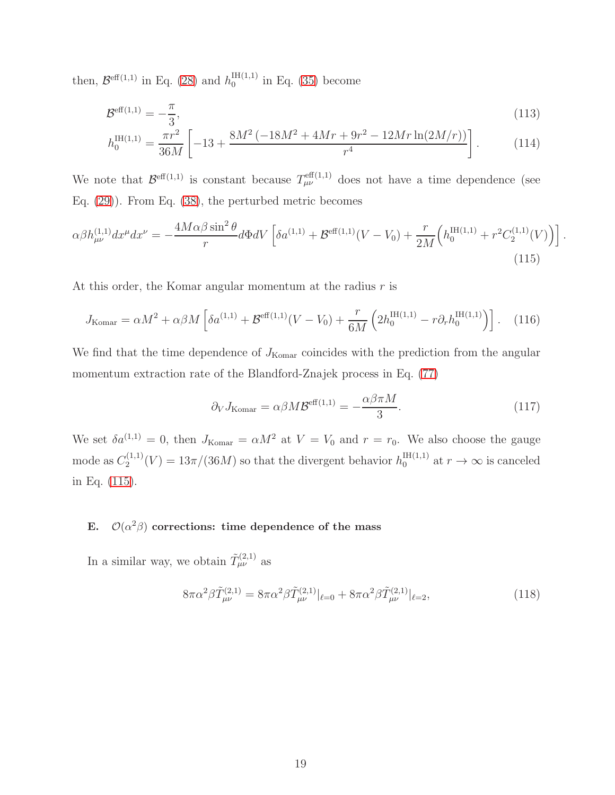then,  $\mathcal{B}^{\text{eff}(1,1)}$  in Eq. [\(28\)](#page-6-2) and  $h_0^{\text{IH}(1,1)}$  $_{0}^{\ln(1,1)}$  in Eq. [\(35\)](#page-7-1) become

$$
\mathcal{B}^{\text{eff}(1,1)} = -\frac{\pi}{3},\tag{113}
$$

$$
h_0^{\text{IH}(1,1)} = \frac{\pi r^2}{36M} \left[ -13 + \frac{8M^2 \left( -18M^2 + 4Mr + 9r^2 - 12Mr \ln(2M/r) \right)}{r^4} \right]. \tag{114}
$$

We note that  $\mathcal{B}^{\text{eff}(1,1)}$  is constant because  $T^{\text{eff}(1,1)}_{\mu\nu}$  does not have a time dependence (see Eq. [\(29\)](#page-6-1)). From Eq. [\(38\)](#page-7-2), the perturbed metric becomes

$$
\alpha \beta h_{\mu\nu}^{(1,1)} dx^{\mu} dx^{\nu} = -\frac{4M\alpha\beta\sin^{2}\theta}{r} d\Phi dV \left[ \delta a^{(1,1)} + \mathcal{B}^{\text{eff}(1,1)}(V - V_{0}) + \frac{r}{2M} \left( h_{0}^{\text{IH}(1,1)} + r^{2} C_{2}^{(1,1)}(V) \right) \right].
$$
\n(115)

At this order, the Komar angular momentum at the radius  $r$  is

$$
J_{\text{Komar}} = \alpha M^2 + \alpha \beta M \left[ \delta a^{(1,1)} + \mathcal{B}^{\text{eff}(1,1)} (V - V_0) + \frac{r}{6M} \left( 2h_0^{\text{IH}(1,1)} - r \partial_r h_0^{\text{IH}(1,1)} \right) \right]. \tag{116}
$$

We find that the time dependence of  $J_{\text{Komar}}$  coincides with the prediction from the angular momentum extraction rate of the Blandford-Znajek process in Eq. [\(77\)](#page-13-2)

<span id="page-18-0"></span>
$$
\partial_V J_{\text{Komar}} = \alpha \beta M \mathcal{B}^{\text{eff}(1,1)} = -\frac{\alpha \beta \pi M}{3}.
$$
 (117)

We set  $\delta a^{(1,1)} = 0$ , then  $J_{\text{Komar}} = \alpha M^2$  at  $V = V_0$  and  $r = r_0$ . We also choose the gauge mode as  $C_2^{(1,1)}$  $n_2^{(1,1)}(V) = 13\pi/(36M)$  so that the divergent behavior  $h_0^{\text{IH(1,1)}}$  at  $r \to \infty$  is canceled in Eq. [\(115\)](#page-18-0).

# E.  $\mathcal{O}(\alpha^2\beta)$  corrections: time dependence of the mass

In a similar way, we obtain  $\tilde{T}^{(2,1)}_{\mu\nu}$  as

$$
8\pi\alpha^2\beta\tilde{T}^{(2,1)}_{\mu\nu} = 8\pi\alpha^2\beta\tilde{T}^{(2,1)}_{\mu\nu}|_{\ell=0} + 8\pi\alpha^2\beta\tilde{T}^{(2,1)}_{\mu\nu}|_{\ell=2},\tag{118}
$$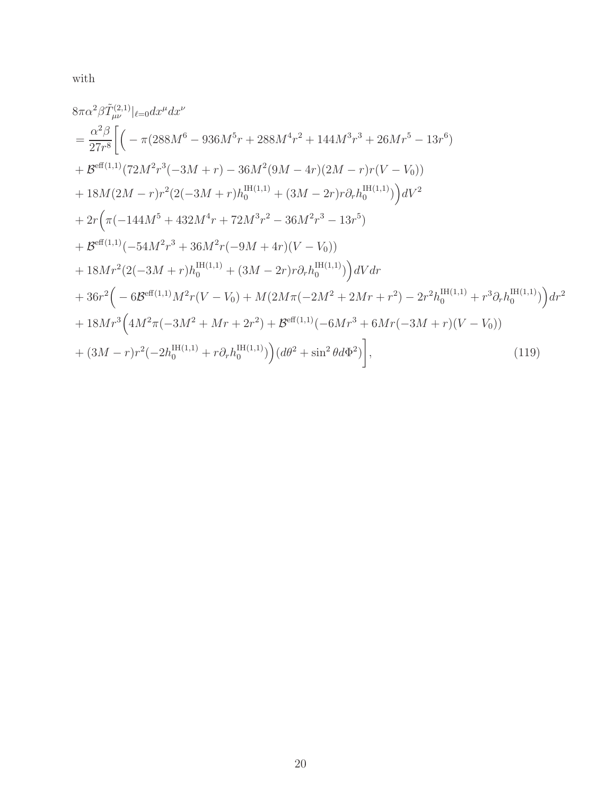with

$$
8\pi\alpha^{2}\beta\tilde{T}_{\mu\nu}^{(2,1)}|_{\ell=0}dx^{\mu}dx^{\nu}
$$
\n
$$
= \frac{\alpha^{2}\beta}{27r^{8}}\bigg[\Big(-\pi(288M^{6}-936M^{5}r+288M^{4}r^{2}+144M^{3}r^{3}+26Mr^{5}-13r^{6})
$$
\n
$$
+ \mathcal{B}^{\text{eff}(1,1)}(72M^{2}r^{3}(-3M+r)-36M^{2}(9M-4r)(2M-r)r(V-V_{0}))
$$
\n
$$
+18M(2M-r)r^{2}(2(-3M+r)h_{0}^{\text{IH}(1,1)}+(3M-2r)r\partial_{r}h_{0}^{\text{IH}(1,1)})\Big)dV^{2}
$$
\n
$$
+2r\Big(\pi(-144M^{5}+432M^{4}r+72M^{3}r^{2}-36M^{2}r^{3}-13r^{5})
$$
\n
$$
+ \mathcal{B}^{\text{eff}(1,1)}(-54M^{2}r^{3}+36M^{2}r(-9M+4r)(V-V_{0}))
$$
\n
$$
+18Mr^{2}(2(-3M+r)h_{0}^{\text{H}(1,1)}+(3M-2r)r\partial_{r}h_{0}^{\text{IH}(1,1)})\Big)dVdr
$$
\n
$$
+36r^{2}\Big(-6\mathcal{B}^{\text{eff}(1,1)}M^{2}r(V-V_{0})+M(2M\pi(-2M^{2}+2Mr+r^{2})-2r^{2}h_{0}^{\text{IH}(1,1)}+r^{3}\partial_{r}h_{0}^{\text{IH}(1,1)})\Big)dr^{2}
$$
\n
$$
+18Mr^{3}\Big(4M^{2}\pi(-3M^{2}+Mr+2r^{2})+B^{\text{eff}(1,1)}(-6Mr^{3}+6Mr(-3M+r)(V-V_{0}))
$$
\n
$$
+(3M-r)r^{2}(-2h_{0}^{\text{H}(1,1)}+r\partial_{r}h_{0}^{\text{H}(1,1)})\Big)(d\theta^{2}+\sin^{2}\theta d\Phi^{2})\Big], \qquad (119)
$$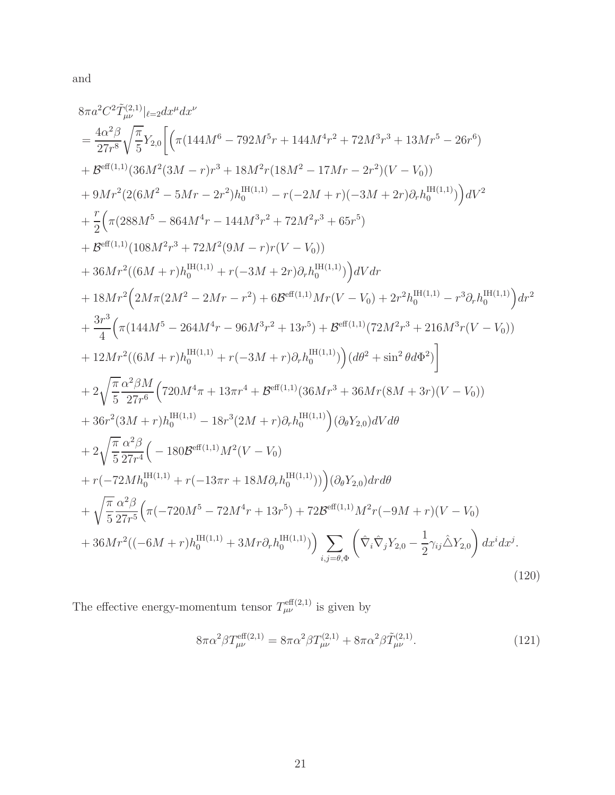and

$$
8\pi a^{2}C^{2}\tilde{T}_{\mu\nu}^{(2,1)}|_{\ell=2}dx^{\mu}dx^{\nu}
$$
\n
$$
= \frac{4\alpha^{2}\beta}{27r^{8}}\sqrt{\frac{\pi}{5}}Y_{2,0}\left[\left(\pi(144M^{6}-792M^{5}r+144M^{4}r^{2}+72M^{3}r^{3}+13Mr^{5}-26r^{6})\right.\right.\\ \left.+B^{\text{eff}(1,1)}(36M^{2}(3M-r)r^{3}+18M^{2}r(18M^{2}-17Mr-2r^{2})(V-V_{0}))\right.\\ \left.+9Mr^{2}(2(6M^{2}-5Mr-2r^{2})h_{0}^{\text{Hf}(1,1)}-r(-2M+r)(-3M+2r)\partial_{r}h_{0}^{\text{Hf}(1,1)})\right) dV^{2}
$$
\n
$$
+\frac{r}{2}\left(\pi(288M^{5}-864M^{4}r-144M^{3}r^{2}+72M^{2}r^{3}+65r^{5})\right.\right.\\ \left.+B^{\text{eff}(1,1)}(108M^{2}r^{3}+72M^{2}(9M-r)r(V-V_{0}))\right.\\ \left.+36Mr^{2}((6M+r)h_{0}^{\text{H}(1,1)}+r(-3M+2r)\partial_{r}h_{0}^{\text{H}(1,1)})\right) dV dr
$$
\n
$$
+18Mr^{2}\left(2M\pi(2M^{2}-2Mr-r^{2})+6B^{\text{eff}(1,1)}Mr(V-V_{0})+2r^{2}h_{0}^{\text{Hf}(1,1)}-r^{3}\partial_{r}h_{0}^{\text{H}(1,1)}\right) dr^{2}
$$
\n
$$
+\frac{3r^{3}}{4}\left(\pi(144M^{5}-264M^{4}r-96M^{3}r^{2}+13r^{5})+B^{\text{eff}(1,1)}(72M^{2}r^{3}+216M^{3}r(V-V_{0}))\right.\\ \left.+12Mr^{2}((6M+r)h_{0}^{\text{H}(1,1)}+r(-3M+r)\partial_{r}h_{0}^{\text{H}(1,1)})\right)(d\theta^{2}+\sin^{2}\theta d\Phi^{2})\right]
$$
\n
$$
+2\sqrt
$$

The effective energy-momentum tensor  $T_{\mu\nu}^{\text{eff}(2,1)}$  is given by

$$
8\pi\alpha^2\beta T_{\mu\nu}^{\text{eff}(2,1)} = 8\pi\alpha^2\beta T_{\mu\nu}^{(2,1)} + 8\pi\alpha^2\beta \tilde{T}_{\mu\nu}^{(2,1)}.
$$
 (121)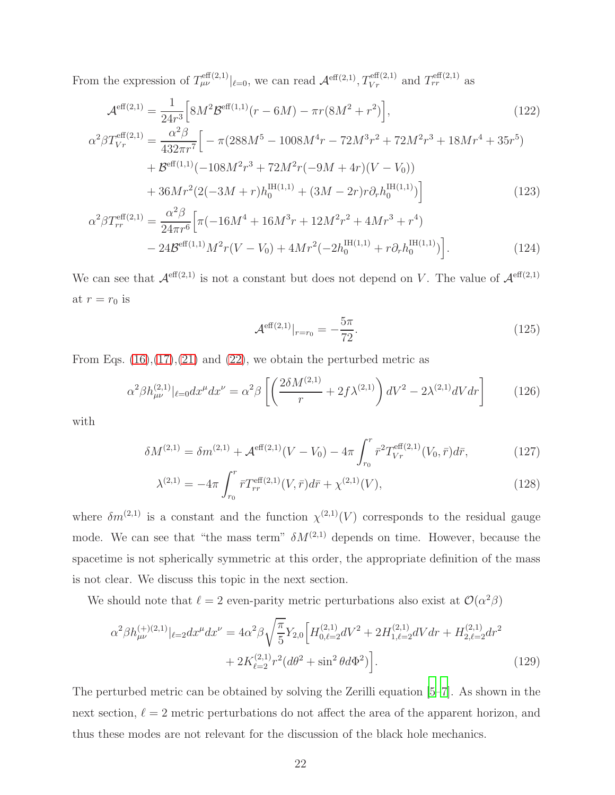From the expression of  $T^{\text{eff}(2,1)}_{\mu\nu}|_{\ell=0}$ , we can read  $\mathcal{A}^{\text{eff}(2,1)}, T^{\text{eff}(2,1)}_{Vr}$  and  $T^{\text{eff}(2,1)}_{rr}$  as

$$
\mathcal{A}^{\text{eff}(2,1)} = \frac{1}{24r^3} \Big[ 8M^2 \mathcal{B}^{\text{eff}(1,1)}(r - 6M) - \pi r (8M^2 + r^2) \Big],
$$
(122)  
\n
$$
\alpha^2 \beta T_{Vr}^{\text{eff}(2,1)} = \frac{\alpha^2 \beta}{432\pi r^7} \Big[ -\pi (288M^5 - 1008M^4r - 72M^3r^2 + 72M^2r^3 + 18Mr^4 + 35r^5) + \mathcal{B}^{\text{eff}(1,1)}(-108M^2r^3 + 72M^2r(-9M + 4r)(V - V_0)) + 36Mr^2(2(-3M + r)h_0^{\text{IH}(1,1)} + (3M - 2r)r\partial_r h_0^{\text{IH}(1,1)}) \Big] \Big]
$$
(123)  
\n
$$
\alpha^2 \beta T_{rr}^{\text{eff}(2,1)} = \frac{\alpha^2 \beta}{24\pi r^6} \Big[ \pi (-16M^4 + 16M^3r + 12M^2r^2 + 4Mr^3 + r^4) - 24\mathcal{B}^{\text{eff}(1,1)}M^2r(V - V_0) + 4Mr^2(-2h_0^{\text{IH}(1,1)} + r\partial_r h_0^{\text{IH}(1,1)}) \Big].
$$

We can see that  $\mathcal{A}^{\text{eff}(2,1)}$  is not a constant but does not depend on V. The value of  $\mathcal{A}^{\text{eff}(2,1)}$ at  $r = r_0$  is

<span id="page-21-2"></span><span id="page-21-1"></span><span id="page-21-0"></span>
$$
\mathcal{A}^{\text{eff}(2,1)}|_{r=r_0} = -\frac{5\pi}{72}.\tag{125}
$$

From Eqs.  $(16)$ , $(17)$ , $(21)$  and  $(22)$ , we obtain the perturbed metric as

$$
\alpha^2 \beta h_{\mu\nu}^{(2,1)}|_{\ell=0} dx^{\mu} dx^{\nu} = \alpha^2 \beta \left[ \left( \frac{2\delta M^{(2,1)}}{r} + 2f\lambda^{(2,1)} \right) dV^2 - 2\lambda^{(2,1)} dV dr \right] \tag{126}
$$

with

$$
\delta M^{(2,1)} = \delta m^{(2,1)} + \mathcal{A}^{\text{eff}(2,1)}(V - V_0) - 4\pi \int_{r_0}^r \bar{r}^2 T_{Vr}^{\text{eff}(2,1)}(V_0, \bar{r}) d\bar{r},\tag{127}
$$

$$
\lambda^{(2,1)} = -4\pi \int_{r_0}^r \bar{r} T_{rr}^{\text{eff}(2,1)}(V,\bar{r}) d\bar{r} + \chi^{(2,1)}(V), \qquad (128)
$$

where  $\delta m^{(2,1)}$  is a constant and the function  $\chi^{(2,1)}(V)$  corresponds to the residual gauge mode. We can see that "the mass term"  $\delta M^{(2,1)}$  depends on time. However, because the spacetime is not spherically symmetric at this order, the appropriate definition of the mass is not clear. We discuss this topic in the next section.

We should note that  $\ell = 2$  even-parity metric perturbations also exist at  $\mathcal{O}(\alpha^2 \beta)$ 

$$
\alpha^{2}\beta h_{\mu\nu}^{(+)(2,1)}|_{\ell=2}dx^{\mu}dx^{\nu} = 4\alpha^{2}\beta\sqrt{\frac{\pi}{5}}Y_{2,0}\Big[H_{0,\ell=2}^{(2,1)}dV^{2} + 2H_{1,\ell=2}^{(2,1)}dVdr + H_{2,\ell=2}^{(2,1)}dr^{2} + 2K_{\ell=2}^{(2,1)}r^{2}(d\theta^{2} + \sin^{2}\theta d\Phi^{2})\Big].
$$
\n(129)

The perturbed metric can be obtained by solving the Zerilli equation [\[5](#page-33-2)[–7\]](#page-33-4). As shown in the next section,  $\ell = 2$  metric perturbations do not affect the area of the apparent horizon, and thus these modes are not relevant for the discussion of the black hole mechanics.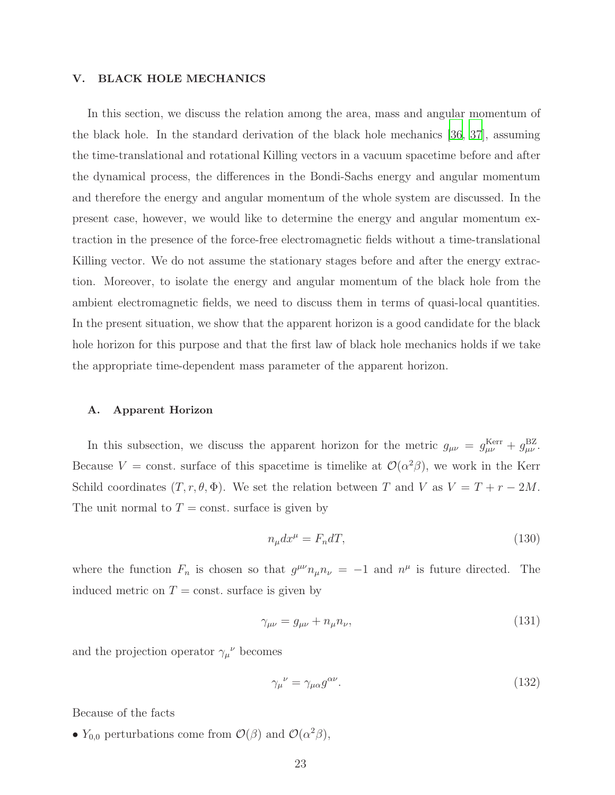#### <span id="page-22-0"></span>V. BLACK HOLE MECHANICS

In this section, we discuss the relation among the area, mass and angular momentum of the black hole. In the standard derivation of the black hole mechanics [\[36](#page-34-7), [37\]](#page-34-8), assuming the time-translational and rotational Killing vectors in a vacuum spacetime before and after the dynamical process, the differences in the Bondi-Sachs energy and angular momentum and therefore the energy and angular momentum of the whole system are discussed. In the present case, however, we would like to determine the energy and angular momentum extraction in the presence of the force-free electromagnetic fields without a time-translational Killing vector. We do not assume the stationary stages before and after the energy extraction. Moreover, to isolate the energy and angular momentum of the black hole from the ambient electromagnetic fields, we need to discuss them in terms of quasi-local quantities. In the present situation, we show that the apparent horizon is a good candidate for the black hole horizon for this purpose and that the first law of black hole mechanics holds if we take the appropriate time-dependent mass parameter of the apparent horizon.

#### A. Apparent Horizon

In this subsection, we discuss the apparent horizon for the metric  $g_{\mu\nu} = g_{\mu\nu}^{\text{Kerr}} + g_{\mu\nu}^{\text{BZ}}$ . Because  $V = \text{const.}$  surface of this spacetime is timelike at  $\mathcal{O}(\alpha^2 \beta)$ , we work in the Kerr Schild coordinates  $(T, r, \theta, \Phi)$ . We set the relation between T and V as  $V = T + r - 2M$ . The unit normal to  $T = \text{const.}$  surface is given by

$$
n_{\mu}dx^{\mu} = F_n dT,\tag{130}
$$

where the function  $F_n$  is chosen so that  $g^{\mu\nu}n_{\mu}n_{\nu} = -1$  and  $n^{\mu}$  is future directed. The induced metric on  $T = \text{const.}$  surface is given by

$$
\gamma_{\mu\nu} = g_{\mu\nu} + n_{\mu} n_{\nu},\tag{131}
$$

and the projection operator  $\gamma_\mu{}^\nu$  becomes

$$
\gamma_{\mu}{}^{\nu} = \gamma_{\mu\alpha} g^{\alpha\nu}.\tag{132}
$$

Because of the facts

•  $Y_{0,0}$  perturbations come from  $\mathcal{O}(\beta)$  and  $\mathcal{O}(\alpha^2\beta)$ ,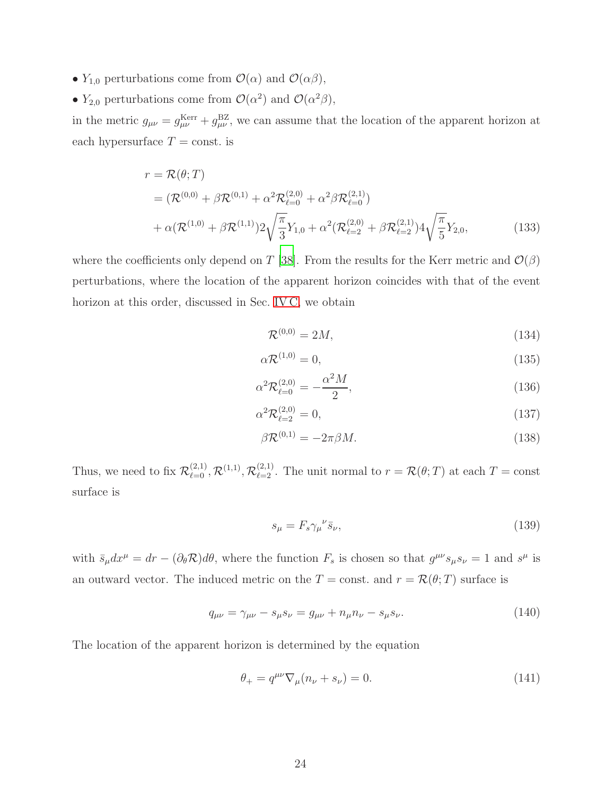- $Y_{1,0}$  perturbations come from  $\mathcal{O}(\alpha)$  and  $\mathcal{O}(\alpha\beta)$ ,
- $Y_{2,0}$  perturbations come from  $\mathcal{O}(\alpha^2)$  and  $\mathcal{O}(\alpha^2\beta)$ ,

in the metric  $g_{\mu\nu} = g_{\mu\nu}^{\text{Kerr}} + g_{\mu\nu}^{\text{BZ}}$ , we can assume that the location of the apparent horizon at each hypersurface  $T = \text{const.}$  is

$$
r = \mathcal{R}(\theta; T)
$$
  
=  $(\mathcal{R}^{(0,0)} + \beta \mathcal{R}^{(0,1)} + \alpha^2 \mathcal{R}_{\ell=0}^{(2,0)} + \alpha^2 \beta \mathcal{R}_{\ell=0}^{(2,1)})$   
+  $\alpha (\mathcal{R}^{(1,0)} + \beta \mathcal{R}^{(1,1)}) 2 \sqrt{\frac{\pi}{3}} Y_{1,0} + \alpha^2 (\mathcal{R}_{\ell=2}^{(2,0)} + \beta \mathcal{R}_{\ell=2}^{(2,1)}) 4 \sqrt{\frac{\pi}{5}} Y_{2,0},$  (133)

where the coefficients only depend on T [\[38\]](#page-34-9). From the results for the Kerr metric and  $\mathcal{O}(\beta)$ perturbations, where the location of the apparent horizon coincides with that of the event horizon at this order, discussed in Sec. [IV C,](#page-16-1) we obtain

<span id="page-23-1"></span>
$$
\mathcal{R}^{(0,0)} = 2M,\tag{134}
$$

$$
\alpha \mathcal{R}^{(1,0)} = 0,\tag{135}
$$

$$
\alpha^2 \mathcal{R}_{\ell=0}^{(2,0)} = -\frac{\alpha^2 M}{2},\tag{136}
$$

$$
\alpha^2 \mathcal{R}_{\ell=2}^{(2,0)} = 0,\t\t(137)
$$

$$
\beta \mathcal{R}^{(0,1)} = -2\pi \beta M. \tag{138}
$$

Thus, we need to fix  $\mathcal{R}_{\ell=0}^{(2,1)}, \mathcal{R}_{\ell=2}^{(1,1)}, \mathcal{R}_{\ell=2}^{(2,1)}$ . The unit normal to  $r = \mathcal{R}(\theta;T)$  at each  $T = \text{const}$ surface is

$$
s_{\mu} = F_s \gamma_{\mu}{}^{\nu} \bar{s}_{\nu},\tag{139}
$$

with  $\bar{s}_{\mu}dx^{\mu} = dr - (\partial_{\theta} \mathcal{R})d\theta$ , where the function  $F_s$  is chosen so that  $g^{\mu\nu}s_{\mu}s_{\nu} = 1$  and  $s^{\mu}$  is an outward vector. The induced metric on the  $T = \text{const.}$  and  $r = \mathcal{R}(\theta; T)$  surface is

$$
q_{\mu\nu} = \gamma_{\mu\nu} - s_{\mu}s_{\nu} = g_{\mu\nu} + n_{\mu}n_{\nu} - s_{\mu}s_{\nu}.
$$
 (140)

The location of the apparent horizon is determined by the equation

<span id="page-23-0"></span>
$$
\theta_{+} = q^{\mu\nu} \nabla_{\mu} (n_{\nu} + s_{\nu}) = 0.
$$
 (141)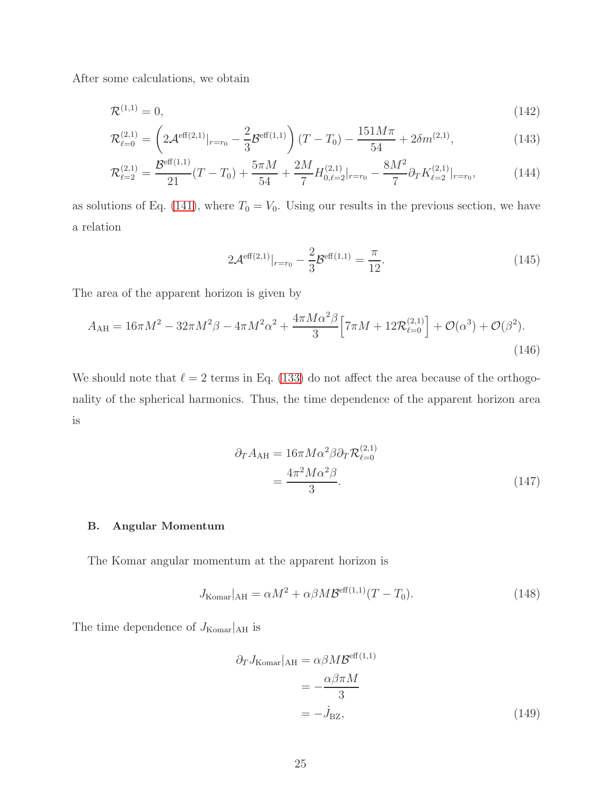After some calculations, we obtain

$$
\mathcal{R}^{(1,1)} = 0,\t(142)
$$

$$
\mathcal{R}_{\ell=0}^{(2,1)} = \left(2\mathcal{A}^{\text{eff}(2,1)}|_{r=r_0} - \frac{2}{3}\mathcal{B}^{\text{eff}(1,1)}\right)(T - T_0) - \frac{151M\pi}{54} + 2\delta m^{(2,1)},\tag{143}
$$

$$
\mathcal{R}_{\ell=2}^{(2,1)} = \frac{\mathcal{B}^{\text{eff}(1,1)}}{21}(T - T_0) + \frac{5\pi M}{54} + \frac{2M}{7}H_{0,\ell=2}^{(2,1)}|_{r=r_0} - \frac{8M^2}{7}\partial_T K_{\ell=2}^{(2,1)}|_{r=r_0},\tag{144}
$$

as solutions of Eq. [\(141\)](#page-23-0), where  $T_0 = V_0$ . Using our results in the previous section, we have a relation

$$
2\mathcal{A}^{\text{eff}(2,1)}|_{r=r_0} - \frac{2}{3}\mathcal{B}^{\text{eff}(1,1)} = \frac{\pi}{12}.
$$
 (145)

The area of the apparent horizon is given by

$$
A_{\rm AH} = 16\pi M^2 - 32\pi M^2 \beta - 4\pi M^2 \alpha^2 + \frac{4\pi M \alpha^2 \beta}{3} \Big[ 7\pi M + 12\mathcal{R}_{\ell=0}^{(2,1)} \Big] + \mathcal{O}(\alpha^3) + \mathcal{O}(\beta^2). \tag{146}
$$

We should note that  $\ell = 2$  terms in Eq. [\(133\)](#page-23-1) do not affect the area because of the orthogonality of the spherical harmonics. Thus, the time dependence of the apparent horizon area is

<span id="page-24-0"></span>
$$
\partial_T A_{\rm AH} = 16\pi M \alpha^2 \beta \partial_T \mathcal{R}_{\ell=0}^{(2,1)}
$$
  
= 
$$
\frac{4\pi^2 M \alpha^2 \beta}{3}.
$$
 (147)

# B. Angular Momentum

The Komar angular momentum at the apparent horizon is

$$
J_{\text{Komar}}|_{\text{AH}} = \alpha M^2 + \alpha \beta M \mathcal{B}^{\text{eff}(1,1)}(T - T_0). \tag{148}
$$

The time dependence of  $J_{\rm Komar}|_{\rm AH}$  is

<span id="page-24-1"></span>
$$
\partial_T J_{\text{Komar}}|_{\text{AH}} = \alpha \beta M \mathcal{B}^{\text{eff}(1,1)}
$$

$$
= -\frac{\alpha \beta \pi M}{3}
$$

$$
= -\dot{J}_{\text{BZ}}, \tag{149}
$$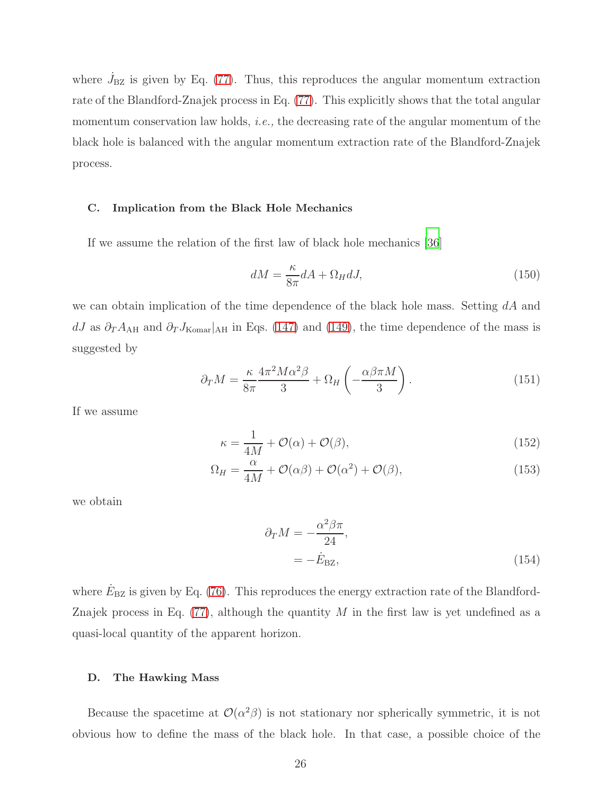where  $\dot{J}_{\rm BZ}$  is given by Eq. [\(77\)](#page-13-2). Thus, this reproduces the angular momentum extraction rate of the Blandford-Znajek process in Eq. [\(77\)](#page-13-2). This explicitly shows that the total angular momentum conservation law holds, i.e., the decreasing rate of the angular momentum of the black hole is balanced with the angular momentum extraction rate of the Blandford-Znajek process.

#### C. Implication from the Black Hole Mechanics

If we assume the relation of the first law of black hole mechanics [\[36](#page-34-7)]

$$
dM = \frac{\kappa}{8\pi} dA + \Omega_H dJ,\tag{150}
$$

we can obtain implication of the time dependence of the black hole mass. Setting  $dA$  and dJ as  $\partial_T A_{\rm AH}$  and  $\partial_T J_{\rm Komar}|_{\rm AH}$  in Eqs. [\(147\)](#page-24-0) and [\(149\)](#page-24-1), the time dependence of the mass is suggested by

$$
\partial_T M = \frac{\kappa}{8\pi} \frac{4\pi^2 M \alpha^2 \beta}{3} + \Omega_H \left( -\frac{\alpha \beta \pi M}{3} \right). \tag{151}
$$

If we assume

$$
\kappa = \frac{1}{4M} + \mathcal{O}(\alpha) + \mathcal{O}(\beta),\tag{152}
$$

$$
\Omega_H = \frac{\alpha}{4M} + \mathcal{O}(\alpha\beta) + \mathcal{O}(\alpha^2) + \mathcal{O}(\beta),\tag{153}
$$

we obtain

<span id="page-25-0"></span>
$$
\partial_T M = -\frac{\alpha^2 \beta \pi}{24},
$$
  
=  $-\dot{E}_{\text{BZ}},$  (154)

where  $\dot{E}_{\rm BZ}$  is given by Eq. [\(76\)](#page-13-3). This reproduces the energy extraction rate of the Blandford-Znajek process in Eq.  $(77)$ , although the quantity M in the first law is yet undefined as a quasi-local quantity of the apparent horizon.

#### D. The Hawking Mass

Because the spacetime at  $\mathcal{O}(\alpha^2\beta)$  is not stationary nor spherically symmetric, it is not obvious how to define the mass of the black hole. In that case, a possible choice of the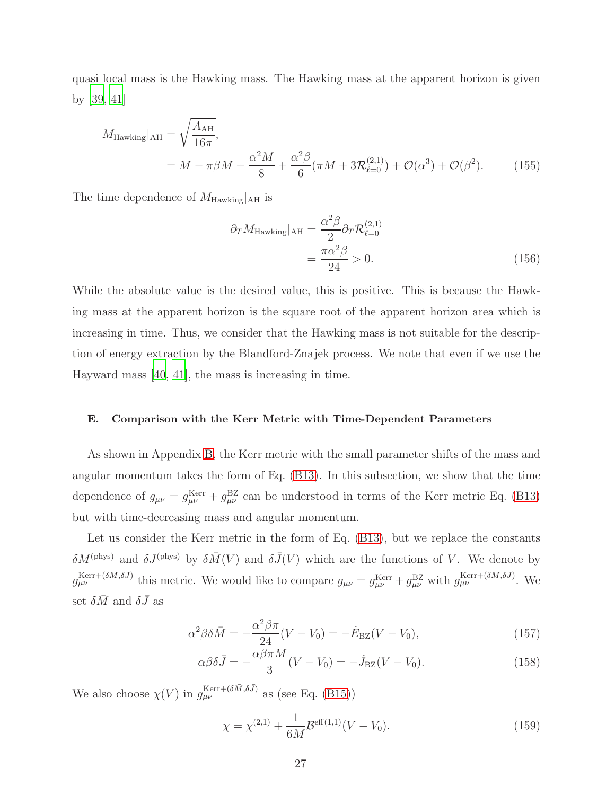quasi local mass is the Hawking mass. The Hawking mass at the apparent horizon is given by [\[39](#page-34-10), [41](#page-34-11)]

$$
M_{\text{Hawking}}|_{\text{AH}} = \sqrt{\frac{A_{\text{AH}}}{16\pi}},
$$
  
=  $M - \pi \beta M - \frac{\alpha^2 M}{8} + \frac{\alpha^2 \beta}{6} (\pi M + 3\mathcal{R}_{\ell=0}^{(2,1)}) + \mathcal{O}(\alpha^3) + \mathcal{O}(\beta^2).$  (155)

The time dependence of  $M_{\text{Hawking}}|_{\text{AH}}$  is

$$
\partial_T M_{\text{Hawking}}|_{\text{AH}} = \frac{\alpha^2 \beta}{2} \partial_T \mathcal{R}_{\ell=0}^{(2,1)}
$$

$$
= \frac{\pi \alpha^2 \beta}{24} > 0. \tag{156}
$$

While the absolute value is the desired value, this is positive. This is because the Hawking mass at the apparent horizon is the square root of the apparent horizon area which is increasing in time. Thus, we consider that the Hawking mass is not suitable for the description of energy extraction by the Blandford-Znajek process. We note that even if we use the Hayward mass [\[40](#page-34-12), [41\]](#page-34-11), the mass is increasing in time.

### E. Comparison with the Kerr Metric with Time-Dependent Parameters

As shown in Appendix [B,](#page-31-0) the Kerr metric with the small parameter shifts of the mass and angular momentum takes the form of Eq. [\(B13\)](#page-32-1). In this subsection, we show that the time dependence of  $g_{\mu\nu} = g_{\mu\nu}^{\text{Kerr}} + g_{\mu\nu}^{\text{BZ}}$  can be understood in terms of the Kerr metric Eq. [\(B13\)](#page-32-1) but with time-decreasing mass and angular momentum.

Let us consider the Kerr metric in the form of Eq. [\(B13\)](#page-32-1), but we replace the constants  $\delta M^{(\text{phys})}$  and  $\delta J^{(\text{phys})}$  by  $\delta \bar{M}(V)$  and  $\delta \bar{J}(V)$  which are the functions of V. We denote by  $g_{\mu\nu}^{\text{Kerr}+(\delta\bar{M},\delta\bar{J})}$  this metric. We would like to compare  $g_{\mu\nu} = g_{\mu\nu}^{\text{Kerr}} + g_{\mu\nu}^{\text{BZ}}$  with  $g_{\mu\nu}^{\text{Kerr}+(\delta\bar{M},\delta\bar{J})}$ . We set  $\delta \bar{M}$  and  $\delta \bar{J}$  as

$$
\alpha^2 \beta \delta \bar{M} = -\frac{\alpha^2 \beta \pi}{24} (V - V_0) = -\dot{E}_{\text{BZ}} (V - V_0), \qquad (157)
$$

$$
\alpha \beta \delta \bar{J} = -\frac{\alpha \beta \pi M}{3} (V - V_0) = -\dot{J}_{\text{BZ}} (V - V_0). \tag{158}
$$

We also choose  $\chi(V)$  in  $g_{\mu\nu}^{\text{Kerr}+(\delta\bar{M},\delta\bar{J})}$  as (see Eq. [\(B15\)](#page-32-2))

$$
\chi = \chi^{(2,1)} + \frac{1}{6M} \mathcal{B}^{\text{eff}(1,1)}(V - V_0). \tag{159}
$$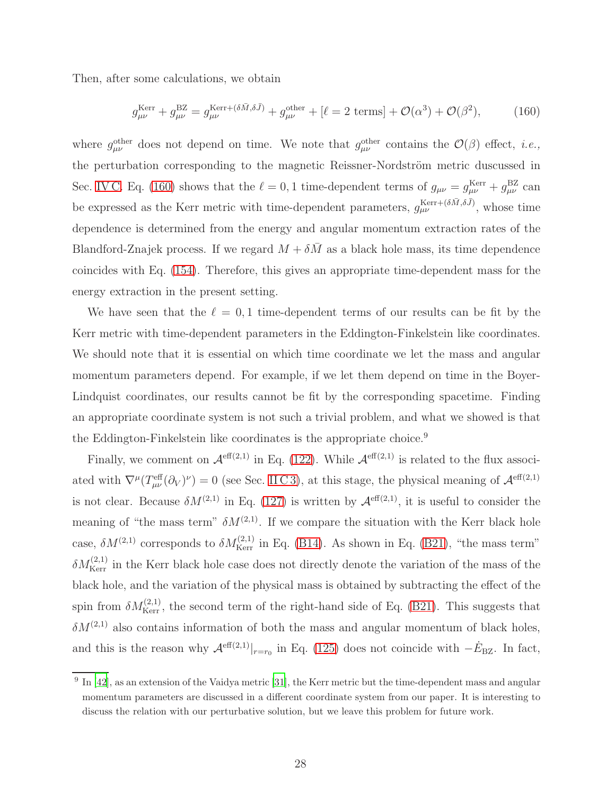Then, after some calculations, we obtain

<span id="page-27-0"></span>
$$
g_{\mu\nu}^{\text{Kerr}} + g_{\mu\nu}^{\text{BZ}} = g_{\mu\nu}^{\text{Kerr} + (\delta \bar{M}, \delta \bar{J})} + g_{\mu\nu}^{\text{other}} + [\ell = 2 \text{ terms}] + \mathcal{O}(\alpha^3) + \mathcal{O}(\beta^2), \tag{160}
$$

where  $g_{\mu\nu}^{\text{other}}$  does not depend on time. We note that  $g_{\mu\nu}^{\text{other}}$  contains the  $\mathcal{O}(\beta)$  effect, *i.e.*, the perturbation corresponding to the magnetic Reissner-Nordström metric duscussed in Sec. [IV C.](#page-16-1) Eq. [\(160\)](#page-27-0) shows that the  $\ell = 0, 1$  time-dependent terms of  $g_{\mu\nu} = g_{\mu\nu}^{\text{Kerr}} + g_{\mu\nu}^{\text{BZ}}$  can be expressed as the Kerr metric with time-dependent parameters,  $g_{\mu\nu}^{Kerr+(\delta\bar{M},\delta\bar{J})}$ , whose time dependence is determined from the energy and angular momentum extraction rates of the Blandford-Znajek process. If we regard  $M + \delta \bar{M}$  as a black hole mass, its time dependence coincides with Eq. [\(154\)](#page-25-0). Therefore, this gives an appropriate time-dependent mass for the energy extraction in the present setting.

We have seen that the  $\ell = 0, 1$  time-dependent terms of our results can be fit by the Kerr metric with time-dependent parameters in the Eddington-Finkelstein like coordinates. We should note that it is essential on which time coordinate we let the mass and angular momentum parameters depend. For example, if we let them depend on time in the Boyer-Lindquist coordinates, our results cannot be fit by the corresponding spacetime. Finding an appropriate coordinate system is not such a trivial problem, and what we showed is that the Eddington-Finkelstein like coordinates is the appropriate choice.<sup>9</sup>

Finally, we comment on  $\mathcal{A}^{\text{eff}(2,1)}$  in Eq. [\(122\)](#page-21-0). While  $\mathcal{A}^{\text{eff}(2,1)}$  is related to the flux associated with  $\nabla^{\mu}(T_{\mu\nu}^{\text{eff}}(\partial_V)^{\nu})=0$  (see Sec. [II C 3\)](#page-9-2), at this stage, the physical meaning of  $\mathcal{A}^{\text{eff}(2,1)}$ is not clear. Because  $\delta M^{(2,1)}$  in Eq. [\(127\)](#page-21-1) is written by  $\mathcal{A}^{\text{eff}(2,1)}$ , it is useful to consider the meaning of "the mass term"  $\delta M^{(2,1)}$ . If we compare the situation with the Kerr black hole case,  $\delta M^{(2,1)}$  corresponds to  $\delta M_{\text{Kerr}}^{(2,1)}$  in Eq. [\(B14\)](#page-32-3). As shown in Eq. [\(B21\)](#page-32-4), "the mass term"  $\delta M_{\rm Kerr}^{(2,1)}$  in the Kerr black hole case does not directly denote the variation of the mass of the black hole, and the variation of the physical mass is obtained by subtracting the effect of the spin from  $\delta M_{\text{Kerr}}^{(2,1)}$ , the second term of the right-hand side of Eq. [\(B21\)](#page-32-4). This suggests that  $\delta M^{(2,1)}$  also contains information of both the mass and angular momentum of black holes, and this is the reason why  $\mathcal{A}^{\text{eff}(2,1)}|_{r=r_0}$  in Eq. [\(125\)](#page-21-2) does not coincide with  $-\dot{E}_{\text{BZ}}$ . In fact,

<sup>&</sup>lt;sup>9</sup> In [\[42](#page-34-13)], as an extension of the Vaidya metric [\[31](#page-34-1)], the Kerr metric but the time-dependent mass and angular momentum parameters are discussed in a different coordinate system from our paper. It is interesting to discuss the relation with our perturbative solution, but we leave this problem for future work.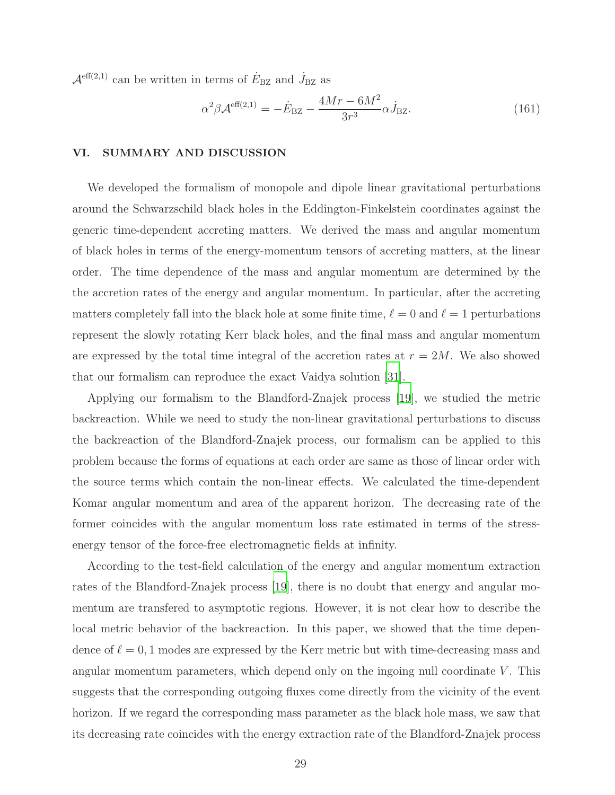$\mathcal{A}^{\text{eff}(2,1)}$  can be written in terms of  $\dot{E}_{\text{BZ}}$  and  $\dot{J}_{\text{BZ}}$  as

$$
\alpha^2 \beta \mathcal{A}^{\text{eff}(2,1)} = -\dot{E}_{\text{BZ}} - \frac{4Mr - 6M^2}{3r^3} \alpha \dot{J}_{\text{BZ}}.\tag{161}
$$

### <span id="page-28-0"></span>VI. SUMMARY AND DISCUSSION

We developed the formalism of monopole and dipole linear gravitational perturbations around the Schwarzschild black holes in the Eddington-Finkelstein coordinates against the generic time-dependent accreting matters. We derived the mass and angular momentum of black holes in terms of the energy-momentum tensors of accreting matters, at the linear order. The time dependence of the mass and angular momentum are determined by the the accretion rates of the energy and angular momentum. In particular, after the accreting matters completely fall into the black hole at some finite time,  $\ell = 0$  and  $\ell = 1$  perturbations represent the slowly rotating Kerr black holes, and the final mass and angular momentum are expressed by the total time integral of the accretion rates at  $r = 2M$ . We also showed that our formalism can reproduce the exact Vaidya solution [\[31\]](#page-34-1).

Applying our formalism to the Blandford-Znajek process [\[19](#page-33-12)], we studied the metric backreaction. While we need to study the non-linear gravitational perturbations to discuss the backreaction of the Blandford-Znajek process, our formalism can be applied to this problem because the forms of equations at each order are same as those of linear order with the source terms which contain the non-linear effects. We calculated the time-dependent Komar angular momentum and area of the apparent horizon. The decreasing rate of the former coincides with the angular momentum loss rate estimated in terms of the stressenergy tensor of the force-free electromagnetic fields at infinity.

According to the test-field calculation of the energy and angular momentum extraction rates of the Blandford-Znajek process [\[19](#page-33-12)], there is no doubt that energy and angular momentum are transfered to asymptotic regions. However, it is not clear how to describe the local metric behavior of the backreaction. In this paper, we showed that the time dependence of  $\ell = 0, 1$  modes are expressed by the Kerr metric but with time-decreasing mass and angular momentum parameters, which depend only on the ingoing null coordinate  $V$ . This suggests that the corresponding outgoing fluxes come directly from the vicinity of the event horizon. If we regard the corresponding mass parameter as the black hole mass, we saw that its decreasing rate coincides with the energy extraction rate of the Blandford-Znajek process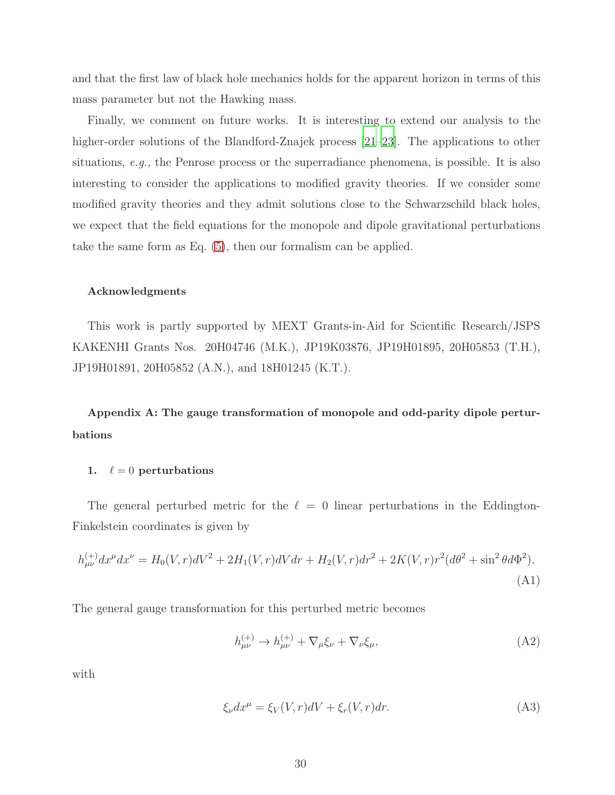and that the first law of black hole mechanics holds for the apparent horizon in terms of this mass parameter but not the Hawking mass.

Finally, we comment on future works. It is interesting to extend our analysis to the higher-order solutions of the Blandford-Znajek process [\[21](#page-33-14)[–23](#page-33-15)]. The applications to other situations, e.g., the Penrose process or the superradiance phenomena, is possible. It is also interesting to consider the applications to modified gravity theories. If we consider some modified gravity theories and they admit solutions close to the Schwarzschild black holes, we expect that the field equations for the monopole and dipole gravitational perturbations take the same form as Eq. [\(5\)](#page-3-0), then our formalism can be applied.

### Acknowledgments

This work is partly supported by MEXT Grants-in-Aid for Scientific Research/JSPS KAKENHI Grants Nos. 20H04746 (M.K.), JP19K03876, JP19H01895, 20H05853 (T.H.), JP19H01891, 20H05852 (A.N.), and 18H01245 (K.T.).

<span id="page-29-0"></span>Appendix A: The gauge transformation of monopole and odd-parity dipole perturbations

### 1.  $\ell = 0$  perturbations

The general perturbed metric for the  $\ell = 0$  linear perturbations in the Eddington-Finkelstein coordinates is given by

$$
h_{\mu\nu}^{(+)}dx^{\mu}dx^{\nu} = H_0(V,r)dV^2 + 2H_1(V,r)dVdr + H_2(V,r)dr^2 + 2K(V,r)r^2(d\theta^2 + \sin^2\theta d\Phi^2).
$$
\n(A1)

The general gauge transformation for this perturbed metric becomes

$$
h_{\mu\nu}^{(+)} \to h_{\mu\nu}^{(+)} + \nabla_{\mu}\xi_{\nu} + \nabla_{\nu}\xi_{\mu},\tag{A2}
$$

with

$$
\xi_{\nu} dx^{\mu} = \xi_V(V, r) dV + \xi_r(V, r) dr. \tag{A3}
$$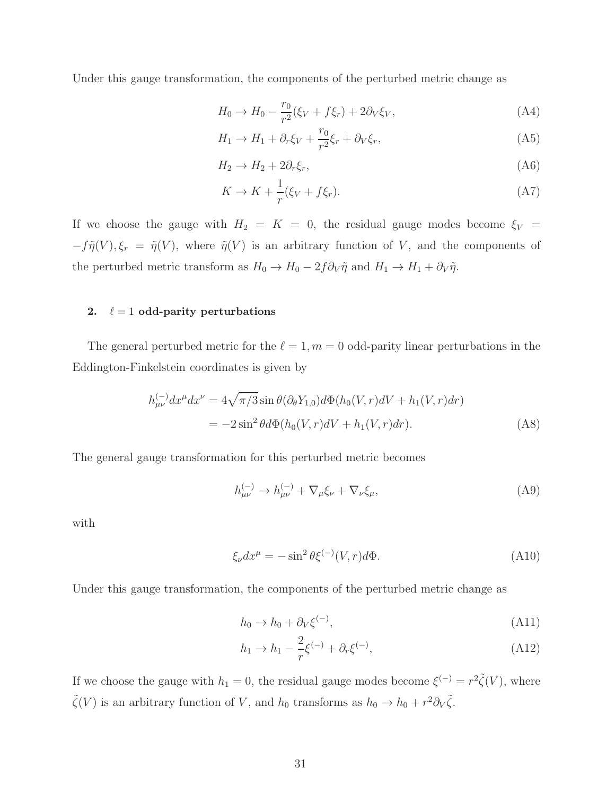Under this gauge transformation, the components of the perturbed metric change as

$$
H_0 \to H_0 - \frac{r_0}{r^2} (\xi_V + f \xi_r) + 2 \partial_V \xi_V, \tag{A4}
$$

$$
H_1 \to H_1 + \partial_r \xi_V + \frac{r_0}{r^2} \xi_r + \partial_V \xi_r, \tag{A5}
$$

$$
H_2 \to H_2 + 2\partial_r \xi_r,\tag{A6}
$$

$$
K \to K + \frac{1}{r} (\xi_V + f \xi_r). \tag{A7}
$$

If we choose the gauge with  $H_2 = K = 0$ , the residual gauge modes become  $\xi_V$  =  $-f\tilde{\eta}(V), \xi_r = \tilde{\eta}(V)$ , where  $\tilde{\eta}(V)$  is an arbitrary function of V, and the components of the perturbed metric transform as  $H_0 \to H_0 - 2f \partial_V \tilde{\eta}$  and  $H_1 \to H_1 + \partial_V \tilde{\eta}$ .

# 2.  $\ell = 1$  odd-parity perturbations

The general perturbed metric for the  $\ell = 1, m = 0$  odd-parity linear perturbations in the Eddington-Finkelstein coordinates is given by

$$
h_{\mu\nu}^{(-)} dx^{\mu} dx^{\nu} = 4\sqrt{\pi/3} \sin \theta (\partial_{\theta} Y_{1,0}) d\Phi(h_0(V,r) dV + h_1(V,r) dr)
$$
  
=  $-2 \sin^2 \theta d\Phi(h_0(V,r) dV + h_1(V,r) dr).$  (A8)

The general gauge transformation for this perturbed metric becomes

$$
h_{\mu\nu}^{(-)} \to h_{\mu\nu}^{(-)} + \nabla_{\mu}\xi_{\nu} + \nabla_{\nu}\xi_{\mu},\tag{A9}
$$

with

$$
\xi_{\nu} dx^{\mu} = -\sin^2 \theta \xi^{(-)}(V, r) d\Phi. \tag{A10}
$$

Under this gauge transformation, the components of the perturbed metric change as

$$
h_0 \to h_0 + \partial_V \xi^{(-)},\tag{A11}
$$

$$
h_1 \to h_1 - \frac{2}{r} \xi^{(-)} + \partial_r \xi^{(-)}, \tag{A12}
$$

If we choose the gauge with  $h_1 = 0$ , the residual gauge modes become  $\xi^{(-)} = r^2 \tilde{\zeta}(V)$ , where  $\tilde{\zeta}(V)$  is an arbitrary function of V, and  $h_0$  transforms as  $h_0 \to h_0 + r^2 \partial_V \tilde{\zeta}$ .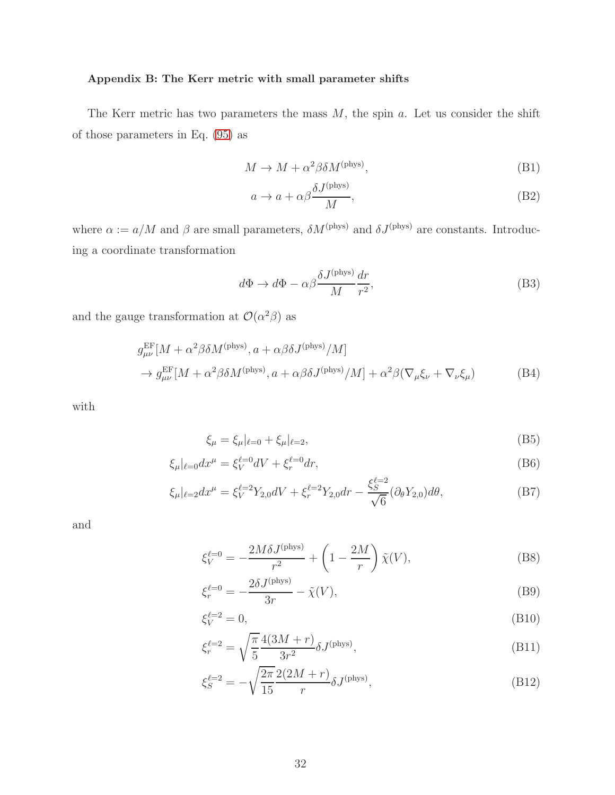# <span id="page-31-0"></span>Appendix B: The Kerr metric with small parameter shifts

The Kerr metric has two parameters the mass  $M$ , the spin  $a$ . Let us consider the shift of those parameters in Eq. [\(95\)](#page-15-0) as

$$
M \to M + \alpha^2 \beta \delta M^{\text{(phys)}},\tag{B1}
$$

$$
a \to a + \alpha \beta \frac{\delta J^{\text{(phys)}}}{M},\tag{B2}
$$

where  $\alpha := a/M$  and  $\beta$  are small parameters,  $\delta M^{\text{(phys)}}$  and  $\delta J^{\text{(phys)}}$  are constants. Introducing a coordinate transformation

$$
d\Phi \to d\Phi - \alpha \beta \frac{\delta J^{\text{(phys)}}}{M} \frac{dr}{r^2},\tag{B3}
$$

and the gauge transformation at  $\mathcal{O}(\alpha^2 \beta)$  as

$$
g_{\mu\nu}^{\text{EF}}[M + \alpha^2 \beta \delta M^{(\text{phys})}, a + \alpha \beta \delta J^{(\text{phys})}/M] \n\rightarrow g_{\mu\nu}^{\text{EF}}[M + \alpha^2 \beta \delta M^{(\text{phys})}, a + \alpha \beta \delta J^{(\text{phys})}/M] + \alpha^2 \beta (\nabla_{\mu} \xi_{\nu} + \nabla_{\nu} \xi_{\mu})
$$
\n(B4)

with

$$
\xi_{\mu} = \xi_{\mu}|_{\ell=0} + \xi_{\mu}|_{\ell=2},\tag{B5}
$$

$$
\xi_{\mu}|_{\ell=0} dx^{\mu} = \xi_{V}^{\ell=0} dV + \xi_{r}^{\ell=0} dr,
$$
\n(B6)

$$
\xi_{\mu}|_{\ell=2}dx^{\mu} = \xi_{V}^{\ell=2}Y_{2,0}dV + \xi_{r}^{\ell=2}Y_{2,0}dr - \frac{\xi_{S}^{\ell=2}}{\sqrt{6}}(\partial_{\theta}Y_{2,0})d\theta, \tag{B7}
$$

and

$$
\xi_V^{\ell=0} = -\frac{2M\delta J^{\text{(phys)}}}{r^2} + \left(1 - \frac{2M}{r}\right)\tilde{\chi}(V),\tag{B8}
$$

$$
\xi_r^{\ell=0} = -\frac{2\delta J^{\text{(phys)}}}{3r} - \tilde{\chi}(V),\tag{B9}
$$

$$
\xi_V^{\ell=2} = 0,\tag{B10}
$$

$$
\xi_r^{\ell=2} = \sqrt{\frac{\pi}{5}} \frac{4(3M+r)}{3r^2} \delta J^{(\text{phys})},\tag{B11}
$$

$$
\xi_S^{\ell=2} = -\sqrt{\frac{2\pi}{15}} \frac{2(2M+r)}{r} \delta J^{(\text{phys})},\tag{B12}
$$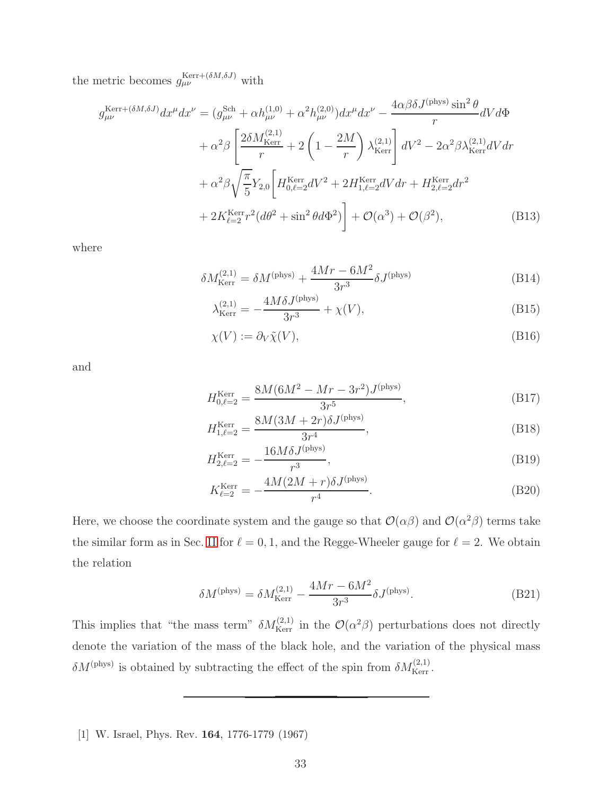the metric becomes  $g_{\mu\nu}^{\text{Kerr}+(\delta M,\delta J)}$  with

$$
g_{\mu\nu}^{\text{Kerr} + (\delta M, \delta J)} dx^{\mu} dx^{\nu} = (g_{\mu\nu}^{\text{Sch}} + \alpha h_{\mu\nu}^{(1,0)} + \alpha^2 h_{\mu\nu}^{(2,0)}) dx^{\mu} dx^{\nu} - \frac{4\alpha\beta\delta J^{(\text{phys})} \sin^2 \theta}{r} dV d\Phi + \alpha^2 \beta \left[ \frac{2\delta M_{\text{Kerr}}^{(2,1)}}{r} + 2 \left( 1 - \frac{2M}{r} \right) \lambda_{\text{Kerr}}^{(2,1)} \right] dV^2 - 2\alpha^2 \beta \lambda_{\text{Kerr}}^{(2,1)} dV dr + \alpha^2 \beta \sqrt{\frac{\pi}{5}} Y_{2,0} \left[ H_{0,\ell=2}^{\text{Kerr}} dV^2 + 2H_{1,\ell=2}^{\text{Kerr}} dV dr + H_{2,\ell=2}^{\text{Kerr}} dr^2 + 2K_{\ell=2}^{\text{Kerr}} r^2 (d\theta^2 + \sin^2 \theta d\Phi^2) \right] + \mathcal{O}(\alpha^3) + \mathcal{O}(\beta^2), \tag{B13}
$$

where

$$
\delta M_{\text{Kerr}}^{(2,1)} = \delta M^{(\text{phys})} + \frac{4Mr - 6M^2}{3r^3} \delta J^{(\text{phys})}
$$
\n(B14)

<span id="page-32-3"></span><span id="page-32-2"></span><span id="page-32-1"></span>
$$
\lambda_{\text{Kerr}}^{(2,1)} = -\frac{4M\delta J^{\text{(phys)}}}{3r^3} + \chi(V),\tag{B15}
$$

$$
\chi(V) := \partial_V \tilde{\chi}(V),\tag{B16}
$$

and

$$
H_{0,\ell=2}^{\text{Kerr}} = \frac{8M(6M^2 - Mr - 3r^2)J^{\text{(phys)}}}{3r^5},\tag{B17}
$$

$$
H_{1,\ell=2}^{\text{Kerr}} = \frac{8M(3M+2r)\delta J^{\text{(phys)}}}{3r^4},\tag{B18}
$$

$$
H_{2,\ell=2}^{\text{Kerr}} = -\frac{16M\delta J^{\text{(phys)}}}{r^3},\tag{B19}
$$

$$
K_{\ell=2}^{\text{Kerr}} = -\frac{4M(2M+r)\delta J^{\text{(phys)}}}{r^4}.
$$
 (B20)

Here, we choose the coordinate system and the gauge so that  $\mathcal{O}(\alpha\beta)$  and  $\mathcal{O}(\alpha^2\beta)$  terms take the similar form as in Sec. [II](#page-2-0) for  $\ell = 0, 1$ , and the Regge-Wheeler gauge for  $\ell = 2$ . We obtain the relation

<span id="page-32-4"></span>
$$
\delta M^{(\text{phys})} = \delta M_{\text{Kerr}}^{(2,1)} - \frac{4Mr - 6M^2}{3r^3} \delta J^{(\text{phys})}.
$$
 (B21)

This implies that "the mass term"  $\delta M_{\text{Kerr}}^{(2,1)}$  in the  $\mathcal{O}(\alpha^2 \beta)$  perturbations does not directly denote the variation of the mass of the black hole, and the variation of the physical mass  $\delta M^{(\text{phys})}$  is obtained by subtracting the effect of the spin from  $\delta M^{(2,1)}_{\text{Kerr}}$ .

<span id="page-32-0"></span>[1] W. Israel, Phys. Rev. 164, 1776-1779 (1967)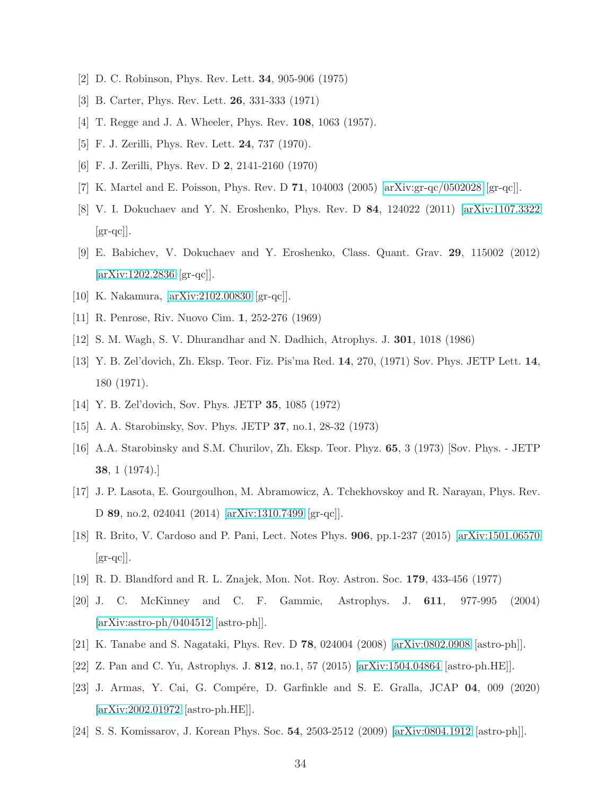- <span id="page-33-0"></span>[2] D. C. Robinson, Phys. Rev. Lett. 34, 905-906 (1975)
- <span id="page-33-1"></span>[3] B. Carter, Phys. Rev. Lett. 26, 331-333 (1971)
- <span id="page-33-2"></span>[4] T. Regge and J. A. Wheeler, Phys. Rev. **108**, 1063 (1957).
- <span id="page-33-3"></span>[5] F. J. Zerilli, Phys. Rev. Lett. 24, 737 (1970).
- <span id="page-33-4"></span>[6] F. J. Zerilli, Phys. Rev. D 2, 2141-2160 (1970)
- <span id="page-33-5"></span>[7] K. Martel and E. Poisson, Phys. Rev. D 71, 104003 (2005) [\[arXiv:gr-qc/0502028](http://arxiv.org/abs/gr-qc/0502028) [gr-qc]].
- [8] V. I. Dokuchaev and Y. N. Eroshenko, Phys. Rev. D 84, 124022 (2011) [\[arXiv:1107.3322](http://arxiv.org/abs/1107.3322)  $\left[\text{gr-qc}\right]$ .
- <span id="page-33-6"></span>[9] E. Babichev, V. Dokuchaev and Y. Eroshenko, Class. Quant. Grav. 29, 115002 (2012) [\[arXiv:1202.2836](http://arxiv.org/abs/1202.2836) [gr-qc]].
- <span id="page-33-8"></span><span id="page-33-7"></span>[10] K. Nakamura, [\[arXiv:2102.00830](http://arxiv.org/abs/2102.00830) [gr-qc]].
- <span id="page-33-9"></span>[11] R. Penrose, Riv. Nuovo Cim. 1, 252-276 (1969)
- <span id="page-33-10"></span>[12] S. M. Wagh, S. V. Dhurandhar and N. Dadhich, Atrophys. J. 301, 1018 (1986)
- [13] Y. B. Zel'dovich, Zh. Eksp. Teor. Fiz. Pis'ma Red. 14, 270, (1971) Sov. Phys. JETP Lett. 14, 180 (1971).
- [14] Y. B. Zel'dovich, Sov. Phys. JETP 35, 1085 (1972)
- [15] A. A. Starobinsky, Sov. Phys. JETP 37, no.1, 28-32 (1973)
- [16] A.A. Starobinsky and S.M. Churilov, Zh. Eksp. Teor. Phyz. 65, 3 (1973) [Sov. Phys. JETP 38, 1 (1974).]
- [17] J. P. Lasota, E. Gourgoulhon, M. Abramowicz, A. Tchekhovskoy and R. Narayan, Phys. Rev. D 89, no.2, 024041 (2014) [\[arXiv:1310.7499](http://arxiv.org/abs/1310.7499) [gr-qc]].
- <span id="page-33-11"></span>[18] R. Brito, V. Cardoso and P. Pani, Lect. Notes Phys. 906, pp.1-237 (2015) [\[arXiv:1501.06570](http://arxiv.org/abs/1501.06570)  $\left[\text{gr-qc}\right]$ .
- <span id="page-33-12"></span>[19] R. D. Blandford and R. L. Znajek, Mon. Not. Roy. Astron. Soc. 179, 433-456 (1977)
- <span id="page-33-13"></span>[20] J. C. McKinney and C. F. Gammie, Astrophys. J. 611, 977-995 (2004) [\[arXiv:astro-ph/0404512](http://arxiv.org/abs/astro-ph/0404512) [astro-ph]].
- <span id="page-33-14"></span>[21] K. Tanabe and S. Nagataki, Phys. Rev. D 78, 024004 (2008) [\[arXiv:0802.0908](http://arxiv.org/abs/0802.0908) [astro-ph]].
- [22] Z. Pan and C. Yu, Astrophys. J. 812, no.1, 57 (2015) [\[arXiv:1504.04864](http://arxiv.org/abs/1504.04864) [astro-ph.HE]].
- <span id="page-33-15"></span>[23] J. Armas, Y. Cai, G. Compére, D. Garfinkle and S. E. Gralla, JCAP 04, 009 (2020) [\[arXiv:2002.01972](http://arxiv.org/abs/2002.01972) [astro-ph.HE]].
- [24] S. S. Komissarov, J. Korean Phys. Soc. 54, 2503-2512 (2009) [\[arXiv:0804.1912](http://arxiv.org/abs/0804.1912) [astro-ph]].